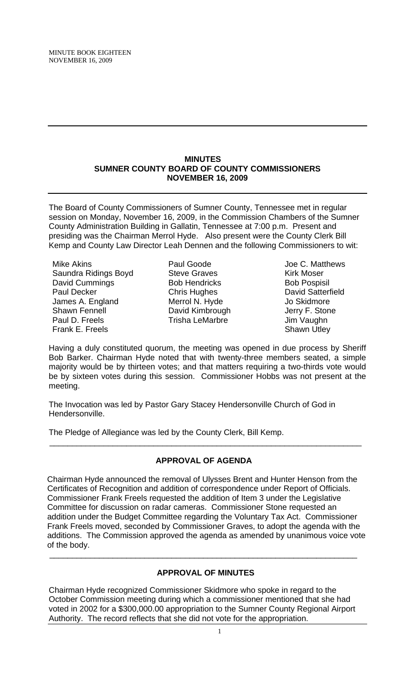MINUTE BOOK EIGHTEEN NOVEMBER 16, 2009

#### **MINUTES SUMNER COUNTY BOARD OF COUNTY COMMISSIONERS NOVEMBER 16, 2009**

The Board of County Commissioners of Sumner County, Tennessee met in regular session on Monday, November 16, 2009, in the Commission Chambers of the Sumner County Administration Building in Gallatin, Tennessee at 7:00 p.m. Present and presiding was the Chairman Merrol Hyde. Also present were the County Clerk Bill Kemp and County Law Director Leah Dennen and the following Commissioners to wit:

Mike Akins Saundra Ridings Boyd David Cummings Paul Decker James A. England Shawn Fennell Paul D. Freels Frank E. Freels

Paul Goode Steve Graves Bob Hendricks Chris Hughes Merrol N. Hyde David Kimbrough Trisha LeMarbre

Joe C. Matthews Kirk Moser Bob Pospisil David Satterfield Jo Skidmore Jerry F. Stone Jim Vaughn Shawn Utley

Having a duly constituted quorum, the meeting was opened in due process by Sheriff Bob Barker. Chairman Hyde noted that with twenty-three members seated, a simple majority would be by thirteen votes; and that matters requiring a two-thirds vote would be by sixteen votes during this session. Commissioner Hobbs was not present at the meeting.

The Invocation was led by Pastor Gary Stacey Hendersonville Church of God in Hendersonville.

The Pledge of Allegiance was led by the County Clerk, Bill Kemp.

# **APPROVAL OF AGENDA**

 $\overline{\phantom{a}}$  , and the contribution of the contribution of the contribution of the contribution of the contribution of the contribution of the contribution of the contribution of the contribution of the contribution of the

Chairman Hyde announced the removal of Ulysses Brent and Hunter Henson from the Certificates of Recognition and addition of correspondence under Report of Officials. Commissioner Frank Freels requested the addition of Item 3 under the Legislative Committee for discussion on radar cameras. Commissioner Stone requested an addition under the Budget Committee regarding the Voluntary Tax Act. Commissioner Frank Freels moved, seconded by Commissioner Graves, to adopt the agenda with the additions. The Commission approved the agenda as amended by unanimous voice vote of the body.

## **APPROVAL OF MINUTES**

 $\overline{\phantom{a}}$  , and the contribution of the contribution of the contribution of the contribution of the contribution of  $\overline{\phantom{a}}$ 

Chairman Hyde recognized Commissioner Skidmore who spoke in regard to the October Commission meeting during which a commissioner mentioned that she had voted in 2002 for a \$300,000.00 appropriation to the Sumner County Regional Airport Authority. The record reflects that she did not vote for the appropriation.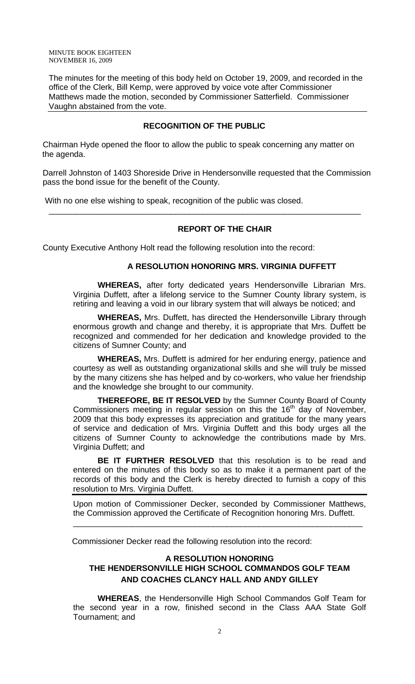MINUTE BOOK EIGHTEEN NOVEMBER 16, 2009

The minutes for the meeting of this body held on October 19, 2009, and recorded in the office of the Clerk, Bill Kemp, were approved by voice vote after Commissioner Matthews made the motion, seconded by Commissioner Satterfield. Commissioner Vaughn abstained from the vote.

## **RECOGNITION OF THE PUBLIC**

Chairman Hyde opened the floor to allow the public to speak concerning any matter on the agenda.

Darrell Johnston of 1403 Shoreside Drive in Hendersonville requested that the Commission pass the bond issue for the benefit of the County.

\_\_\_\_\_\_\_\_\_\_\_\_\_\_\_\_\_\_\_\_\_\_\_\_\_\_\_\_\_\_\_\_\_\_\_\_\_\_\_\_\_\_\_\_\_\_\_\_\_\_\_\_\_\_\_\_\_\_\_\_\_\_\_\_\_\_\_\_\_

With no one else wishing to speak, recognition of the public was closed.

## **REPORT OF THE CHAIR**

County Executive Anthony Holt read the following resolution into the record:

#### **A RESOLUTION HONORING MRS. VIRGINIA DUFFETT**

**WHEREAS,** after forty dedicated years Hendersonville Librarian Mrs. Virginia Duffett, after a lifelong service to the Sumner County library system, is retiring and leaving a void in our library system that will always be noticed; and

**WHEREAS,** Mrs. Duffett, has directed the Hendersonville Library through enormous growth and change and thereby, it is appropriate that Mrs. Duffett be recognized and commended for her dedication and knowledge provided to the citizens of Sumner County; and

**WHEREAS,** Mrs. Duffett is admired for her enduring energy, patience and courtesy as well as outstanding organizational skills and she will truly be missed by the many citizens she has helped and by co-workers, who value her friendship and the knowledge she brought to our community.

**THEREFORE, BE IT RESOLVED** by the Sumner County Board of County Commissioners meeting in regular session on this the 16<sup>th</sup> day of November, 2009 that this body expresses its appreciation and gratitude for the many years of service and dedication of Mrs. Virginia Duffett and this body urges all the citizens of Sumner County to acknowledge the contributions made by Mrs. Virginia Duffett; and

**BE IT FURTHER RESOLVED** that this resolution is to be read and entered on the minutes of this body so as to make it a permanent part of the records of this body and the Clerk is hereby directed to furnish a copy of this resolution to Mrs. Virginia Duffett.

Upon motion of Commissioner Decker, seconded by Commissioner Matthews, the Commission approved the Certificate of Recognition honoring Mrs. Duffett.

\_\_\_\_\_\_\_\_\_\_\_\_\_\_\_\_\_\_\_\_\_\_\_\_\_\_\_\_\_\_\_\_\_\_\_\_\_\_\_\_\_\_\_\_\_\_\_\_\_\_\_\_\_\_\_\_\_\_\_\_\_\_\_\_

Commissioner Decker read the following resolution into the record:

## **A RESOLUTION HONORING THE HENDERSONVILLE HIGH SCHOOL COMMANDOS GOLF TEAM AND COACHES CLANCY HALL AND ANDY GILLEY**

**WHEREAS**, the Hendersonville High School Commandos Golf Team for the second year in a row, finished second in the Class AAA State Golf Tournament; and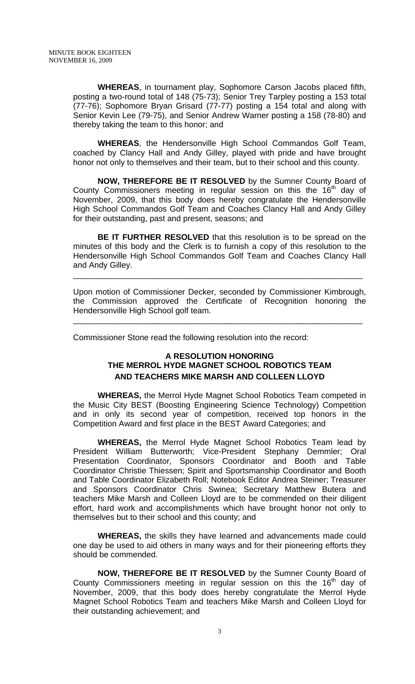**WHEREAS**, in tournament play, Sophomore Carson Jacobs placed fifth, posting a two-round total of 148 (75-73); Senior Trey Tarpley posting a 153 total (77-76); Sophomore Bryan Grisard (77-77) posting a 154 total and along with Senior Kevin Lee (79-75), and Senior Andrew Warner posting a 158 (78-80) and thereby taking the team to this honor; and

**WHEREAS**, the Hendersonville High School Commandos Golf Team, coached by Clancy Hall and Andy Gilley, played with pride and have brought honor not only to themselves and their team, but to their school and this county.

**NOW, THEREFORE BE IT RESOLVED** by the Sumner County Board of County Commissioners meeting in regular session on this the  $16<sup>th</sup>$  day of November, 2009, that this body does hereby congratulate the Hendersonville High School Commandos Golf Team and Coaches Clancy Hall and Andy Gilley for their outstanding, past and present, seasons; and

**BE IT FURTHER RESOLVED** that this resolution is to be spread on the minutes of this body and the Clerk is to furnish a copy of this resolution to the Hendersonville High School Commandos Golf Team and Coaches Clancy Hall and Andy Gilley.

\_\_\_\_\_\_\_\_\_\_\_\_\_\_\_\_\_\_\_\_\_\_\_\_\_\_\_\_\_\_\_\_\_\_\_\_\_\_\_\_\_\_\_\_\_\_\_\_\_\_\_\_\_\_\_\_\_\_\_\_\_\_\_\_

Upon motion of Commissioner Decker, seconded by Commissioner Kimbrough, the Commission approved the Certificate of Recognition honoring the Hendersonville High School golf team.

\_\_\_\_\_\_\_\_\_\_\_\_\_\_\_\_\_\_\_\_\_\_\_\_\_\_\_\_\_\_\_\_\_\_\_\_\_\_\_\_\_\_\_\_\_\_\_\_\_\_\_\_\_\_\_\_\_\_\_\_\_\_\_\_

Commissioner Stone read the following resolution into the record:

## **A RESOLUTION HONORING THE MERROL HYDE MAGNET SCHOOL ROBOTICS TEAM AND TEACHERS MIKE MARSH AND COLLEEN LLOYD**

 **WHEREAS,** the Merrol Hyde Magnet School Robotics Team competed in the Music City BEST (Boosting Engineering Science Technology) Competition and in only its second year of competition, received top honors in the Competition Award and first place in the BEST Award Categories; and

**WHEREAS,** the Merrol Hyde Magnet School Robotics Team lead by President William Butterworth; Vice-President Stephany Demmler; Oral Presentation Coordinator, Sponsors Coordinator and Booth and Table Coordinator Christie Thiessen; Spirit and Sportsmanship Coordinator and Booth and Table Coordinator Elizabeth Roll; Notebook Editor Andrea Steiner; Treasurer and Sponsors Coordinator Chris Swinea; Secretary Matthew Butera and teachers Mike Marsh and Colleen Lloyd are to be commended on their diligent effort, hard work and accomplishments which have brought honor not only to themselves but to their school and this county; and

**WHEREAS,** the skills they have learned and advancements made could one day be used to aid others in many ways and for their pioneering efforts they should be commended.

**NOW, THEREFORE BE IT RESOLVED** by the Sumner County Board of County Commissioners meeting in regular session on this the  $16<sup>th</sup>$  day of November, 2009, that this body does hereby congratulate the Merrol Hyde Magnet School Robotics Team and teachers Mike Marsh and Colleen Lloyd for their outstanding achievement; and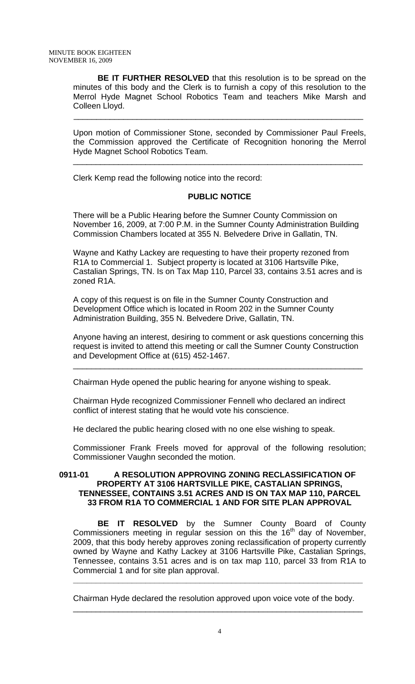**BE IT FURTHER RESOLVED** that this resolution is to be spread on the minutes of this body and the Clerk is to furnish a copy of this resolution to the Merrol Hyde Magnet School Robotics Team and teachers Mike Marsh and Colleen Lloyd.

\_\_\_\_\_\_\_\_\_\_\_\_\_\_\_\_\_\_\_\_\_\_\_\_\_\_\_\_\_\_\_\_\_\_\_\_\_\_\_\_\_\_\_\_\_\_\_\_\_\_\_\_\_\_\_\_\_\_\_\_\_\_\_\_

Upon motion of Commissioner Stone, seconded by Commissioner Paul Freels, the Commission approved the Certificate of Recognition honoring the Merrol Hyde Magnet School Robotics Team.

\_\_\_\_\_\_\_\_\_\_\_\_\_\_\_\_\_\_\_\_\_\_\_\_\_\_\_\_\_\_\_\_\_\_\_\_\_\_\_\_\_\_\_\_\_\_\_\_\_\_\_\_\_\_\_\_\_\_\_\_\_\_\_\_

Clerk Kemp read the following notice into the record:

## **PUBLIC NOTICE**

There will be a Public Hearing before the Sumner County Commission on November 16, 2009, at 7:00 P.M. in the Sumner County Administration Building Commission Chambers located at 355 N. Belvedere Drive in Gallatin, TN.

Wayne and Kathy Lackey are requesting to have their property rezoned from R1A to Commercial 1. Subject property is located at 3106 Hartsville Pike, Castalian Springs, TN. Is on Tax Map 110, Parcel 33, contains 3.51 acres and is zoned R1A.

A copy of this request is on file in the Sumner County Construction and Development Office which is located in Room 202 in the Sumner County Administration Building, 355 N. Belvedere Drive, Gallatin, TN.

Anyone having an interest, desiring to comment or ask questions concerning this request is invited to attend this meeting or call the Sumner County Construction and Development Office at (615) 452-1467.

\_\_\_\_\_\_\_\_\_\_\_\_\_\_\_\_\_\_\_\_\_\_\_\_\_\_\_\_\_\_\_\_\_\_\_\_\_\_\_\_\_\_\_\_\_\_\_\_\_\_\_\_\_\_\_\_\_\_\_\_\_\_\_\_

Chairman Hyde opened the public hearing for anyone wishing to speak.

Chairman Hyde recognized Commissioner Fennell who declared an indirect conflict of interest stating that he would vote his conscience.

He declared the public hearing closed with no one else wishing to speak.

Commissioner Frank Freels moved for approval of the following resolution; Commissioner Vaughn seconded the motion.

## **0911-01 A RESOLUTION APPROVING ZONING RECLASSIFICATION OF PROPERTY AT 3106 HARTSVILLE PIKE, CASTALIAN SPRINGS, TENNESSEE, CONTAINS 3.51 ACRES AND IS ON TAX MAP 110, PARCEL 33 FROM R1A TO COMMERCIAL 1 AND FOR SITE PLAN APPROVAL**

 **BE IT RESOLVED** by the Sumner County Board of County Commissioners meeting in regular session on this the  $16<sup>th</sup>$  day of November, 2009, that this body hereby approves zoning reclassification of property currently owned by Wayne and Kathy Lackey at 3106 Hartsville Pike, Castalian Springs, Tennessee, contains 3.51 acres and is on tax map 110, parcel 33 from R1A to Commercial 1 and for site plan approval.

**\_\_\_\_\_\_\_\_\_\_\_\_\_\_\_\_\_\_\_\_\_\_\_\_\_\_\_\_\_\_\_\_\_\_\_\_\_\_\_\_\_\_\_\_\_\_\_\_\_\_\_\_\_\_\_\_\_\_\_\_\_\_\_\_** 

Chairman Hyde declared the resolution approved upon voice vote of the body. \_\_\_\_\_\_\_\_\_\_\_\_\_\_\_\_\_\_\_\_\_\_\_\_\_\_\_\_\_\_\_\_\_\_\_\_\_\_\_\_\_\_\_\_\_\_\_\_\_\_\_\_\_\_\_\_\_\_\_\_\_\_\_\_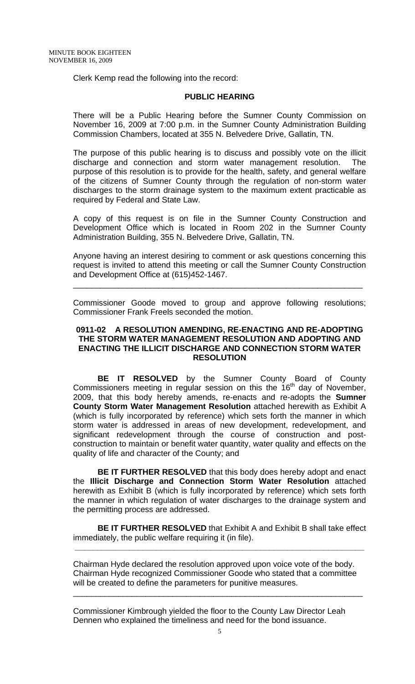Clerk Kemp read the following into the record:

#### **PUBLIC HEARING**

There will be a Public Hearing before the Sumner County Commission on November 16, 2009 at 7:00 p.m. in the Sumner County Administration Building Commission Chambers, located at 355 N. Belvedere Drive, Gallatin, TN.

The purpose of this public hearing is to discuss and possibly vote on the illicit discharge and connection and storm water management resolution. The purpose of this resolution is to provide for the health, safety, and general welfare of the citizens of Sumner County through the regulation of non-storm water discharges to the storm drainage system to the maximum extent practicable as required by Federal and State Law.

A copy of this request is on file in the Sumner County Construction and Development Office which is located in Room 202 in the Sumner County Administration Building, 355 N. Belvedere Drive, Gallatin, TN.

Anyone having an interest desiring to comment or ask questions concerning this request is invited to attend this meeting or call the Sumner County Construction and Development Office at (615)452-1467.

\_\_\_\_\_\_\_\_\_\_\_\_\_\_\_\_\_\_\_\_\_\_\_\_\_\_\_\_\_\_\_\_\_\_\_\_\_\_\_\_\_\_\_\_\_\_\_\_\_\_\_\_\_\_\_\_\_\_\_\_\_\_\_\_

Commissioner Goode moved to group and approve following resolutions; Commissioner Frank Freels seconded the motion.

## **0911-02 A RESOLUTION AMENDING, RE-ENACTING AND RE-ADOPTING THE STORM WATER MANAGEMENT RESOLUTION AND ADOPTING AND ENACTING THE ILLICIT DISCHARGE AND CONNECTION STORM WATER RESOLUTION**

 **BE IT RESOLVED** by the Sumner County Board of County Commissioners meeting in regular session on this the  $16<sup>th</sup>$  day of November, 2009, that this body hereby amends, re-enacts and re-adopts the **Sumner County Storm Water Management Resolution** attached herewith as Exhibit A (which is fully incorporated by reference) which sets forth the manner in which storm water is addressed in areas of new development, redevelopment, and significant redevelopment through the course of construction and postconstruction to maintain or benefit water quantity, water quality and effects on the quality of life and character of the County; and

**BE IT FURTHER RESOLVED** that this body does hereby adopt and enact the **Illicit Discharge and Connection Storm Water Resolution** attached herewith as Exhibit B (which is fully incorporated by reference) which sets forth the manner in which regulation of water discharges to the drainage system and the permitting process are addressed.

**BE IT FURTHER RESOLVED** that Exhibit A and Exhibit B shall take effect immediately, the public welfare requiring it (in file).

**\_\_\_\_\_\_\_\_\_\_\_\_\_\_\_\_\_\_\_\_\_\_\_\_\_\_\_\_\_\_\_\_\_\_\_\_\_\_\_\_\_\_\_\_\_\_\_\_\_\_\_\_\_\_\_\_\_\_\_\_\_\_\_\_** 

Chairman Hyde declared the resolution approved upon voice vote of the body. Chairman Hyde recognized Commissioner Goode who stated that a committee will be created to define the parameters for punitive measures.

\_\_\_\_\_\_\_\_\_\_\_\_\_\_\_\_\_\_\_\_\_\_\_\_\_\_\_\_\_\_\_\_\_\_\_\_\_\_\_\_\_\_\_\_\_\_\_\_\_\_\_\_\_\_\_\_\_\_\_\_\_\_\_\_

Commissioner Kimbrough yielded the floor to the County Law Director Leah Dennen who explained the timeliness and need for the bond issuance.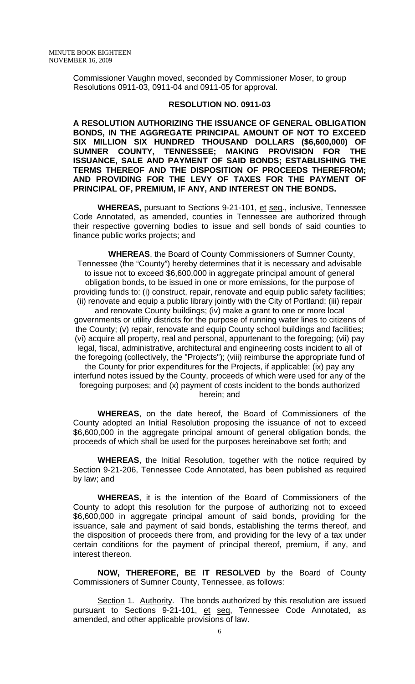Commissioner Vaughn moved, seconded by Commissioner Moser, to group Resolutions 0911-03, 0911-04 and 0911-05 for approval.

#### **RESOLUTION NO. 0911-03**

**A RESOLUTION AUTHORIZING THE ISSUANCE OF GENERAL OBLIGATION BONDS, IN THE AGGREGATE PRINCIPAL AMOUNT OF NOT TO EXCEED SIX MILLION SIX HUNDRED THOUSAND DOLLARS (\$6,600,000) OF SUMNER COUNTY, TENNESSEE; MAKING PROVISION FOR THE ISSUANCE, SALE AND PAYMENT OF SAID BONDS; ESTABLISHING THE TERMS THEREOF AND THE DISPOSITION OF PROCEEDS THEREFROM; AND PROVIDING FOR THE LEVY OF TAXES FOR THE PAYMENT OF PRINCIPAL OF, PREMIUM, IF ANY, AND INTEREST ON THE BONDS.** 

**WHEREAS,** pursuant to Sections 9-21-101, et seq., inclusive, Tennessee Code Annotated, as amended, counties in Tennessee are authorized through their respective governing bodies to issue and sell bonds of said counties to finance public works projects; and

**WHEREAS**, the Board of County Commissioners of Sumner County, Tennessee (the "County") hereby determines that it is necessary and advisable to issue not to exceed \$6,600,000 in aggregate principal amount of general obligation bonds, to be issued in one or more emissions, for the purpose of providing funds to: (i) construct, repair, renovate and equip public safety facilities; (ii) renovate and equip a public library jointly with the City of Portland; (iii) repair

and renovate County buildings; (iv) make a grant to one or more local governments or utility districts for the purpose of running water lines to citizens of the County; (v) repair, renovate and equip County school buildings and facilities; (vi) acquire all property, real and personal, appurtenant to the foregoing; (vii) pay legal, fiscal, administrative, architectural and engineering costs incident to all of the foregoing (collectively, the "Projects"); (viii) reimburse the appropriate fund of

the County for prior expenditures for the Projects, if applicable; (ix) pay any interfund notes issued by the County, proceeds of which were used for any of the foregoing purposes; and (x) payment of costs incident to the bonds authorized herein; and

**WHEREAS**, on the date hereof, the Board of Commissioners of the County adopted an Initial Resolution proposing the issuance of not to exceed \$6,600,000 in the aggregate principal amount of general obligation bonds, the proceeds of which shall be used for the purposes hereinabove set forth; and

**WHEREAS**, the Initial Resolution, together with the notice required by Section 9-21-206, Tennessee Code Annotated, has been published as required by law; and

**WHEREAS**, it is the intention of the Board of Commissioners of the County to adopt this resolution for the purpose of authorizing not to exceed \$6,600,000 in aggregate principal amount of said bonds, providing for the issuance, sale and payment of said bonds, establishing the terms thereof, and the disposition of proceeds there from, and providing for the levy of a tax under certain conditions for the payment of principal thereof, premium, if any, and interest thereon.

**NOW, THEREFORE, BE IT RESOLVED** by the Board of County Commissioners of Sumner County, Tennessee, as follows:

Section 1. Authority. The bonds authorized by this resolution are issued pursuant to Sections 9-21-101, et seq, Tennessee Code Annotated, as amended, and other applicable provisions of law.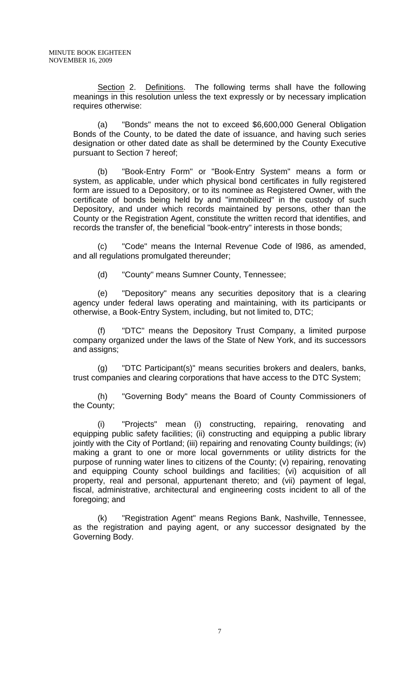Section 2. Definitions. The following terms shall have the following meanings in this resolution unless the text expressly or by necessary implication requires otherwise:

 (a) "Bonds" means the not to exceed \$6,600,000 General Obligation Bonds of the County, to be dated the date of issuance, and having such series designation or other dated date as shall be determined by the County Executive pursuant to Section 7 hereof;

 (b) "Book-Entry Form" or "Book-Entry System" means a form or system, as applicable, under which physical bond certificates in fully registered form are issued to a Depository, or to its nominee as Registered Owner, with the certificate of bonds being held by and "immobilized" in the custody of such Depository, and under which records maintained by persons, other than the County or the Registration Agent, constitute the written record that identifies, and records the transfer of, the beneficial "book-entry" interests in those bonds;

 (c) "Code" means the Internal Revenue Code of l986, as amended, and all regulations promulgated thereunder;

(d) "County" means Sumner County, Tennessee;

 (e) "Depository" means any securities depository that is a clearing agency under federal laws operating and maintaining, with its participants or otherwise, a Book-Entry System, including, but not limited to, DTC;

 (f) "DTC" means the Depository Trust Company, a limited purpose company organized under the laws of the State of New York, and its successors and assigns;

(g) "DTC Participant(s)" means securities brokers and dealers, banks, trust companies and clearing corporations that have access to the DTC System;

 (h) "Governing Body" means the Board of County Commissioners of the County;

 (i) "Projects" mean (i) constructing, repairing, renovating and equipping public safety facilities; (ii) constructing and equipping a public library jointly with the City of Portland; (iii) repairing and renovating County buildings; (iv) making a grant to one or more local governments or utility districts for the purpose of running water lines to citizens of the County; (v) repairing, renovating and equipping County school buildings and facilities; (vi) acquisition of all property, real and personal, appurtenant thereto; and (vii) payment of legal, fiscal, administrative, architectural and engineering costs incident to all of the foregoing; and

 (k) "Registration Agent" means Regions Bank, Nashville, Tennessee, as the registration and paying agent, or any successor designated by the Governing Body.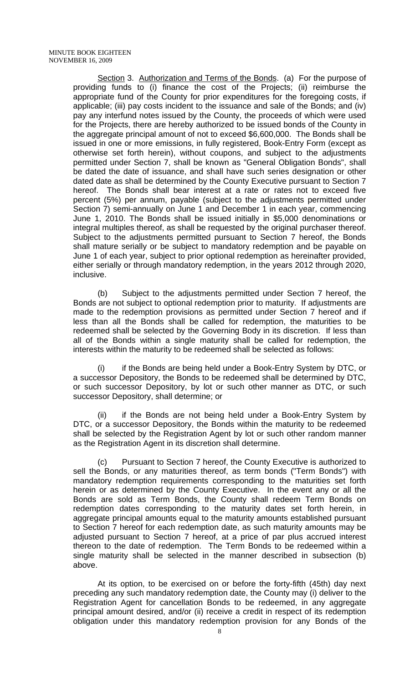Section 3. Authorization and Terms of the Bonds. (a) For the purpose of providing funds to (i) finance the cost of the Projects; (ii) reimburse the appropriate fund of the County for prior expenditures for the foregoing costs, if applicable; (iii) pay costs incident to the issuance and sale of the Bonds; and (iv) pay any interfund notes issued by the County, the proceeds of which were used for the Projects, there are hereby authorized to be issued bonds of the County in the aggregate principal amount of not to exceed \$6,600,000. The Bonds shall be issued in one or more emissions, in fully registered, Book-Entry Form (except as otherwise set forth herein), without coupons, and subject to the adjustments permitted under Section 7, shall be known as "General Obligation Bonds", shall be dated the date of issuance, and shall have such series designation or other dated date as shall be determined by the County Executive pursuant to Section 7 hereof. The Bonds shall bear interest at a rate or rates not to exceed five percent (5%) per annum, payable (subject to the adjustments permitted under Section 7) semi-annually on June 1 and December 1 in each year, commencing June 1, 2010. The Bonds shall be issued initially in \$5,000 denominations or integral multiples thereof, as shall be requested by the original purchaser thereof. Subject to the adjustments permitted pursuant to Section 7 hereof, the Bonds shall mature serially or be subject to mandatory redemption and be payable on June 1 of each year, subject to prior optional redemption as hereinafter provided, either serially or through mandatory redemption, in the years 2012 through 2020, inclusive.

 (b) Subject to the adjustments permitted under Section 7 hereof, the Bonds are not subject to optional redemption prior to maturity. If adjustments are made to the redemption provisions as permitted under Section 7 hereof and if less than all the Bonds shall be called for redemption, the maturities to be redeemed shall be selected by the Governing Body in its discretion. If less than all of the Bonds within a single maturity shall be called for redemption, the interests within the maturity to be redeemed shall be selected as follows:

 (i) if the Bonds are being held under a Book-Entry System by DTC, or a successor Depository, the Bonds to be redeemed shall be determined by DTC, or such successor Depository, by lot or such other manner as DTC, or such successor Depository, shall determine; or

 (ii) if the Bonds are not being held under a Book-Entry System by DTC, or a successor Depository, the Bonds within the maturity to be redeemed shall be selected by the Registration Agent by lot or such other random manner as the Registration Agent in its discretion shall determine.

 (c) Pursuant to Section 7 hereof, the County Executive is authorized to sell the Bonds, or any maturities thereof, as term bonds ("Term Bonds") with mandatory redemption requirements corresponding to the maturities set forth herein or as determined by the County Executive. In the event any or all the Bonds are sold as Term Bonds, the County shall redeem Term Bonds on redemption dates corresponding to the maturity dates set forth herein, in aggregate principal amounts equal to the maturity amounts established pursuant to Section 7 hereof for each redemption date, as such maturity amounts may be adjusted pursuant to Section 7 hereof, at a price of par plus accrued interest thereon to the date of redemption. The Term Bonds to be redeemed within a single maturity shall be selected in the manner described in subsection (b) above.

 At its option, to be exercised on or before the forty-fifth (45th) day next preceding any such mandatory redemption date, the County may (i) deliver to the Registration Agent for cancellation Bonds to be redeemed, in any aggregate principal amount desired, and/or (ii) receive a credit in respect of its redemption obligation under this mandatory redemption provision for any Bonds of the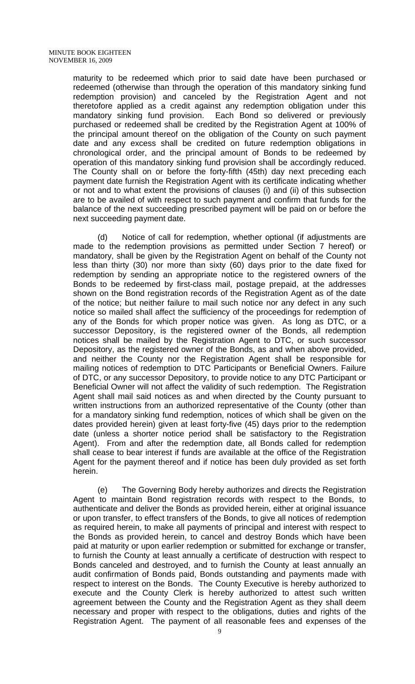maturity to be redeemed which prior to said date have been purchased or redeemed (otherwise than through the operation of this mandatory sinking fund redemption provision) and canceled by the Registration Agent and not theretofore applied as a credit against any redemption obligation under this mandatory sinking fund provision. Each Bond so delivered or previously purchased or redeemed shall be credited by the Registration Agent at 100% of the principal amount thereof on the obligation of the County on such payment date and any excess shall be credited on future redemption obligations in chronological order, and the principal amount of Bonds to be redeemed by operation of this mandatory sinking fund provision shall be accordingly reduced. The County shall on or before the forty-fifth (45th) day next preceding each payment date furnish the Registration Agent with its certificate indicating whether or not and to what extent the provisions of clauses (i) and (ii) of this subsection are to be availed of with respect to such payment and confirm that funds for the balance of the next succeeding prescribed payment will be paid on or before the next succeeding payment date.

 (d) Notice of call for redemption, whether optional (if adjustments are made to the redemption provisions as permitted under Section 7 hereof) or mandatory, shall be given by the Registration Agent on behalf of the County not less than thirty (30) nor more than sixty (60) days prior to the date fixed for redemption by sending an appropriate notice to the registered owners of the Bonds to be redeemed by first-class mail, postage prepaid, at the addresses shown on the Bond registration records of the Registration Agent as of the date of the notice; but neither failure to mail such notice nor any defect in any such notice so mailed shall affect the sufficiency of the proceedings for redemption of any of the Bonds for which proper notice was given. As long as DTC, or a successor Depository, is the registered owner of the Bonds, all redemption notices shall be mailed by the Registration Agent to DTC, or such successor Depository, as the registered owner of the Bonds, as and when above provided, and neither the County nor the Registration Agent shall be responsible for mailing notices of redemption to DTC Participants or Beneficial Owners. Failure of DTC, or any successor Depository, to provide notice to any DTC Participant or Beneficial Owner will not affect the validity of such redemption. The Registration Agent shall mail said notices as and when directed by the County pursuant to written instructions from an authorized representative of the County (other than for a mandatory sinking fund redemption, notices of which shall be given on the dates provided herein) given at least forty-five (45) days prior to the redemption date (unless a shorter notice period shall be satisfactory to the Registration Agent). From and after the redemption date, all Bonds called for redemption shall cease to bear interest if funds are available at the office of the Registration Agent for the payment thereof and if notice has been duly provided as set forth herein.

 (e) The Governing Body hereby authorizes and directs the Registration Agent to maintain Bond registration records with respect to the Bonds, to authenticate and deliver the Bonds as provided herein, either at original issuance or upon transfer, to effect transfers of the Bonds, to give all notices of redemption as required herein, to make all payments of principal and interest with respect to the Bonds as provided herein, to cancel and destroy Bonds which have been paid at maturity or upon earlier redemption or submitted for exchange or transfer, to furnish the County at least annually a certificate of destruction with respect to Bonds canceled and destroyed, and to furnish the County at least annually an audit confirmation of Bonds paid, Bonds outstanding and payments made with respect to interest on the Bonds. The County Executive is hereby authorized to execute and the County Clerk is hereby authorized to attest such written agreement between the County and the Registration Agent as they shall deem necessary and proper with respect to the obligations, duties and rights of the Registration Agent. The payment of all reasonable fees and expenses of the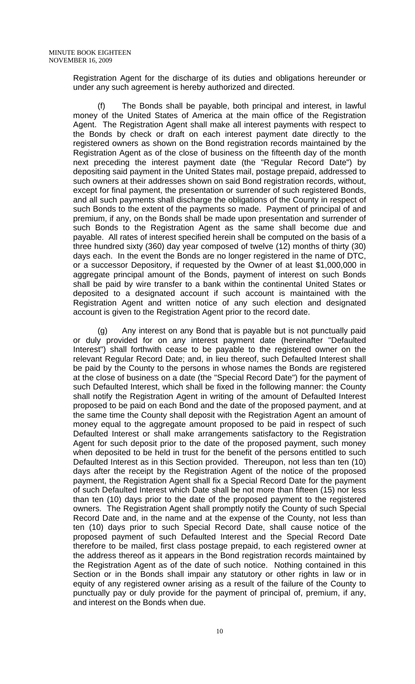Registration Agent for the discharge of its duties and obligations hereunder or under any such agreement is hereby authorized and directed.

The Bonds shall be payable, both principal and interest, in lawful money of the United States of America at the main office of the Registration Agent. The Registration Agent shall make all interest payments with respect to the Bonds by check or draft on each interest payment date directly to the registered owners as shown on the Bond registration records maintained by the Registration Agent as of the close of business on the fifteenth day of the month next preceding the interest payment date (the "Regular Record Date") by depositing said payment in the United States mail, postage prepaid, addressed to such owners at their addresses shown on said Bond registration records, without, except for final payment, the presentation or surrender of such registered Bonds, and all such payments shall discharge the obligations of the County in respect of such Bonds to the extent of the payments so made. Payment of principal of and premium, if any, on the Bonds shall be made upon presentation and surrender of such Bonds to the Registration Agent as the same shall become due and payable. All rates of interest specified herein shall be computed on the basis of a three hundred sixty (360) day year composed of twelve (12) months of thirty (30) days each. In the event the Bonds are no longer registered in the name of DTC, or a successor Depository, if requested by the Owner of at least \$1,000,000 in aggregate principal amount of the Bonds, payment of interest on such Bonds shall be paid by wire transfer to a bank within the continental United States or deposited to a designated account if such account is maintained with the Registration Agent and written notice of any such election and designated account is given to the Registration Agent prior to the record date.

 (g) Any interest on any Bond that is payable but is not punctually paid or duly provided for on any interest payment date (hereinafter "Defaulted Interest") shall forthwith cease to be payable to the registered owner on the relevant Regular Record Date; and, in lieu thereof, such Defaulted Interest shall be paid by the County to the persons in whose names the Bonds are registered at the close of business on a date (the "Special Record Date") for the payment of such Defaulted Interest, which shall be fixed in the following manner: the County shall notify the Registration Agent in writing of the amount of Defaulted Interest proposed to be paid on each Bond and the date of the proposed payment, and at the same time the County shall deposit with the Registration Agent an amount of money equal to the aggregate amount proposed to be paid in respect of such Defaulted Interest or shall make arrangements satisfactory to the Registration Agent for such deposit prior to the date of the proposed payment, such money when deposited to be held in trust for the benefit of the persons entitled to such Defaulted Interest as in this Section provided. Thereupon, not less than ten (10) days after the receipt by the Registration Agent of the notice of the proposed payment, the Registration Agent shall fix a Special Record Date for the payment of such Defaulted Interest which Date shall be not more than fifteen (15) nor less than ten (10) days prior to the date of the proposed payment to the registered owners. The Registration Agent shall promptly notify the County of such Special Record Date and, in the name and at the expense of the County, not less than ten (10) days prior to such Special Record Date, shall cause notice of the proposed payment of such Defaulted Interest and the Special Record Date therefore to be mailed, first class postage prepaid, to each registered owner at the address thereof as it appears in the Bond registration records maintained by the Registration Agent as of the date of such notice. Nothing contained in this Section or in the Bonds shall impair any statutory or other rights in law or in equity of any registered owner arising as a result of the failure of the County to punctually pay or duly provide for the payment of principal of, premium, if any, and interest on the Bonds when due.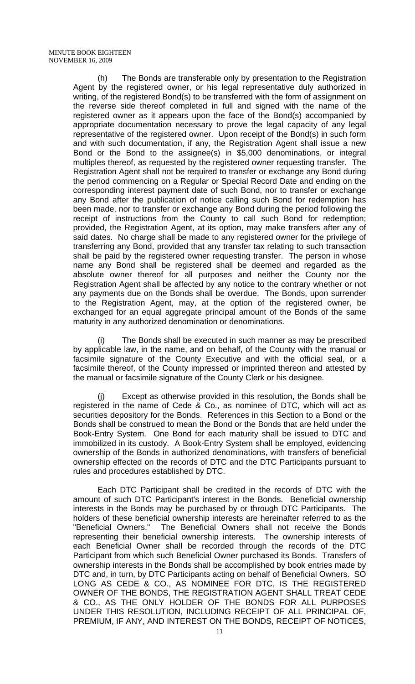(h) The Bonds are transferable only by presentation to the Registration Agent by the registered owner, or his legal representative duly authorized in writing, of the registered Bond(s) to be transferred with the form of assignment on the reverse side thereof completed in full and signed with the name of the registered owner as it appears upon the face of the Bond(s) accompanied by appropriate documentation necessary to prove the legal capacity of any legal representative of the registered owner. Upon receipt of the Bond(s) in such form and with such documentation, if any, the Registration Agent shall issue a new Bond or the Bond to the assignee(s) in \$5,000 denominations, or integral multiples thereof, as requested by the registered owner requesting transfer. The Registration Agent shall not be required to transfer or exchange any Bond during the period commencing on a Regular or Special Record Date and ending on the corresponding interest payment date of such Bond, nor to transfer or exchange any Bond after the publication of notice calling such Bond for redemption has been made, nor to transfer or exchange any Bond during the period following the receipt of instructions from the County to call such Bond for redemption; provided, the Registration Agent, at its option, may make transfers after any of said dates. No charge shall be made to any registered owner for the privilege of transferring any Bond, provided that any transfer tax relating to such transaction shall be paid by the registered owner requesting transfer. The person in whose name any Bond shall be registered shall be deemed and regarded as the absolute owner thereof for all purposes and neither the County nor the Registration Agent shall be affected by any notice to the contrary whether or not any payments due on the Bonds shall be overdue. The Bonds, upon surrender to the Registration Agent, may, at the option of the registered owner, be exchanged for an equal aggregate principal amount of the Bonds of the same maturity in any authorized denomination or denominations.

The Bonds shall be executed in such manner as may be prescribed by applicable law, in the name, and on behalf, of the County with the manual or facsimile signature of the County Executive and with the official seal, or a facsimile thereof, of the County impressed or imprinted thereon and attested by the manual or facsimile signature of the County Clerk or his designee.

Except as otherwise provided in this resolution, the Bonds shall be registered in the name of Cede & Co., as nominee of DTC, which will act as securities depository for the Bonds. References in this Section to a Bond or the Bonds shall be construed to mean the Bond or the Bonds that are held under the Book-Entry System. One Bond for each maturity shall be issued to DTC and immobilized in its custody. A Book-Entry System shall be employed, evidencing ownership of the Bonds in authorized denominations, with transfers of beneficial ownership effected on the records of DTC and the DTC Participants pursuant to rules and procedures established by DTC.

 Each DTC Participant shall be credited in the records of DTC with the amount of such DTC Participant's interest in the Bonds. Beneficial ownership interests in the Bonds may be purchased by or through DTC Participants. The holders of these beneficial ownership interests are hereinafter referred to as the "Beneficial Owners." The Beneficial Owners shall not receive the Bonds representing their beneficial ownership interests. The ownership interests of each Beneficial Owner shall be recorded through the records of the DTC Participant from which such Beneficial Owner purchased its Bonds. Transfers of ownership interests in the Bonds shall be accomplished by book entries made by DTC and, in turn, by DTC Participants acting on behalf of Beneficial Owners. SO LONG AS CEDE & CO., AS NOMINEE FOR DTC, IS THE REGISTERED OWNER OF THE BONDS, THE REGISTRATION AGENT SHALL TREAT CEDE & CO., AS THE ONLY HOLDER OF THE BONDS FOR ALL PURPOSES UNDER THIS RESOLUTION, INCLUDING RECEIPT OF ALL PRINCIPAL OF, PREMIUM, IF ANY, AND INTEREST ON THE BONDS, RECEIPT OF NOTICES,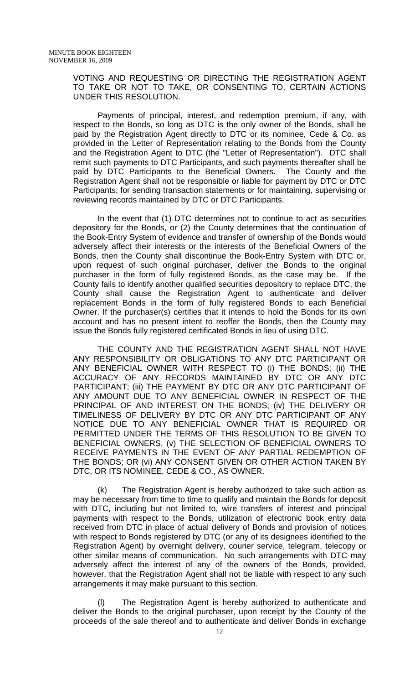VOTING AND REQUESTING OR DIRECTING THE REGISTRATION AGENT TO TAKE OR NOT TO TAKE, OR CONSENTING TO, CERTAIN ACTIONS UNDER THIS RESOLUTION.

 Payments of principal, interest, and redemption premium, if any, with respect to the Bonds, so long as DTC is the only owner of the Bonds, shall be paid by the Registration Agent directly to DTC or its nominee, Cede & Co. as provided in the Letter of Representation relating to the Bonds from the County and the Registration Agent to DTC (the "Letter of Representation"). DTC shall remit such payments to DTC Participants, and such payments thereafter shall be paid by DTC Participants to the Beneficial Owners. The County and the Registration Agent shall not be responsible or liable for payment by DTC or DTC Participants, for sending transaction statements or for maintaining, supervising or reviewing records maintained by DTC or DTC Participants.

 In the event that (1) DTC determines not to continue to act as securities depository for the Bonds, or (2) the County determines that the continuation of the Book-Entry System of evidence and transfer of ownership of the Bonds would adversely affect their interests or the interests of the Beneficial Owners of the Bonds, then the County shall discontinue the Book-Entry System with DTC or, upon request of such original purchaser, deliver the Bonds to the original purchaser in the form of fully registered Bonds, as the case may be. If the County fails to identify another qualified securities depository to replace DTC, the County shall cause the Registration Agent to authenticate and deliver replacement Bonds in the form of fully registered Bonds to each Beneficial Owner. If the purchaser(s) certifies that it intends to hold the Bonds for its own account and has no present intent to reoffer the Bonds, then the County may issue the Bonds fully registered certificated Bonds in lieu of using DTC.

 THE COUNTY AND THE REGISTRATION AGENT SHALL NOT HAVE ANY RESPONSIBILITY OR OBLIGATIONS TO ANY DTC PARTICIPANT OR ANY BENEFICIAL OWNER WITH RESPECT TO (i) THE BONDS; (ii) THE ACCURACY OF ANY RECORDS MAINTAINED BY DTC OR ANY DTC PARTICIPANT; (iii) THE PAYMENT BY DTC OR ANY DTC PARTICIPANT OF ANY AMOUNT DUE TO ANY BENEFICIAL OWNER IN RESPECT OF THE PRINCIPAL OF AND INTEREST ON THE BONDS; (iv) THE DELIVERY OR TIMELINESS OF DELIVERY BY DTC OR ANY DTC PARTICIPANT OF ANY NOTICE DUE TO ANY BENEFICIAL OWNER THAT IS REQUIRED OR PERMITTED UNDER THE TERMS OF THIS RESOLUTION TO BE GIVEN TO BENEFICIAL OWNERS, (v) THE SELECTION OF BENEFICIAL OWNERS TO RECEIVE PAYMENTS IN THE EVENT OF ANY PARTIAL REDEMPTION OF THE BONDS; OR (vi) ANY CONSENT GIVEN OR OTHER ACTION TAKEN BY DTC, OR ITS NOMINEE, CEDE & CO., AS OWNER.

 (k) The Registration Agent is hereby authorized to take such action as may be necessary from time to time to qualify and maintain the Bonds for deposit with DTC, including but not limited to, wire transfers of interest and principal payments with respect to the Bonds, utilization of electronic book entry data received from DTC in place of actual delivery of Bonds and provision of notices with respect to Bonds registered by DTC (or any of its designees identified to the Registration Agent) by overnight delivery, courier service, telegram, telecopy or other similar means of communication. No such arrangements with DTC may adversely affect the interest of any of the owners of the Bonds, provided, however, that the Registration Agent shall not be liable with respect to any such arrangements it may make pursuant to this section.

 (l) The Registration Agent is hereby authorized to authenticate and deliver the Bonds to the original purchaser, upon receipt by the County of the proceeds of the sale thereof and to authenticate and deliver Bonds in exchange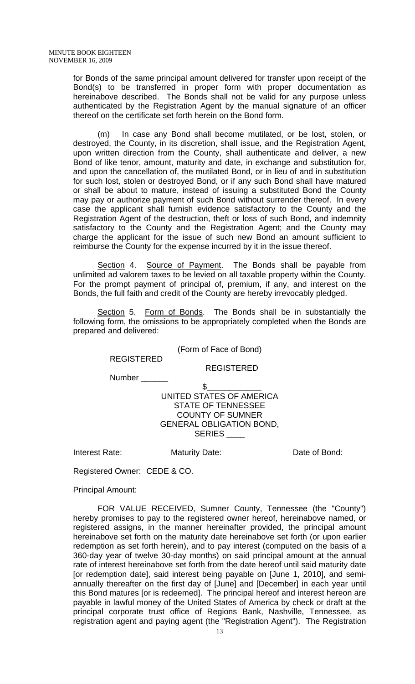for Bonds of the same principal amount delivered for transfer upon receipt of the Bond(s) to be transferred in proper form with proper documentation as hereinabove described. The Bonds shall not be valid for any purpose unless authenticated by the Registration Agent by the manual signature of an officer thereof on the certificate set forth herein on the Bond form.

 (m) In case any Bond shall become mutilated, or be lost, stolen, or destroyed, the County, in its discretion, shall issue, and the Registration Agent, upon written direction from the County, shall authenticate and deliver, a new Bond of like tenor, amount, maturity and date, in exchange and substitution for, and upon the cancellation of, the mutilated Bond, or in lieu of and in substitution for such lost, stolen or destroyed Bond, or if any such Bond shall have matured or shall be about to mature, instead of issuing a substituted Bond the County may pay or authorize payment of such Bond without surrender thereof. In every case the applicant shall furnish evidence satisfactory to the County and the Registration Agent of the destruction, theft or loss of such Bond, and indemnity satisfactory to the County and the Registration Agent; and the County may charge the applicant for the issue of such new Bond an amount sufficient to reimburse the County for the expense incurred by it in the issue thereof.

Section 4. Source of Payment. The Bonds shall be payable from unlimited ad valorem taxes to be levied on all taxable property within the County. For the prompt payment of principal of, premium, if any, and interest on the Bonds, the full faith and credit of the County are hereby irrevocably pledged.

 Section 5. Form of Bonds. The Bonds shall be in substantially the following form, the omissions to be appropriately completed when the Bonds are prepared and delivered:

(Form of Face of Bond)

REGISTERED

REGISTERED

Number \_\_\_\_\_

#### $\frac{1}{2}$ UNITED STATES OF AMERICA STATE OF TENNESSEE COUNTY OF SUMNER GENERAL OBLIGATION BOND, SERIES \_\_\_

Interest Rate: Maturity Date: Date of Bond:

Registered Owner: CEDE & CO.

Principal Amount:

 FOR VALUE RECEIVED, Sumner County, Tennessee (the "County") hereby promises to pay to the registered owner hereof, hereinabove named, or registered assigns, in the manner hereinafter provided, the principal amount hereinabove set forth on the maturity date hereinabove set forth (or upon earlier redemption as set forth herein), and to pay interest (computed on the basis of a 360-day year of twelve 30-day months) on said principal amount at the annual rate of interest hereinabove set forth from the date hereof until said maturity date [or redemption date], said interest being payable on [June 1, 2010], and semiannually thereafter on the first day of [June] and [December] in each year until this Bond matures [or is redeemed]. The principal hereof and interest hereon are payable in lawful money of the United States of America by check or draft at the principal corporate trust office of Regions Bank, Nashville, Tennessee, as registration agent and paying agent (the "Registration Agent"). The Registration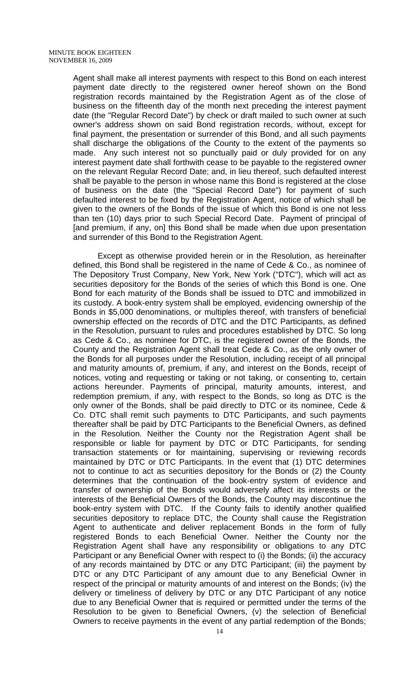Agent shall make all interest payments with respect to this Bond on each interest payment date directly to the registered owner hereof shown on the Bond registration records maintained by the Registration Agent as of the close of business on the fifteenth day of the month next preceding the interest payment date (the "Regular Record Date") by check or draft mailed to such owner at such owner's address shown on said Bond registration records, without, except for final payment, the presentation or surrender of this Bond, and all such payments shall discharge the obligations of the County to the extent of the payments so made. Any such interest not so punctually paid or duly provided for on any interest payment date shall forthwith cease to be payable to the registered owner on the relevant Regular Record Date; and, in lieu thereof, such defaulted interest shall be payable to the person in whose name this Bond is registered at the close of business on the date (the "Special Record Date") for payment of such defaulted interest to be fixed by the Registration Agent, notice of which shall be given to the owners of the Bonds of the issue of which this Bond is one not less than ten (10) days prior to such Special Record Date. Payment of principal of [and premium, if any, on] this Bond shall be made when due upon presentation and surrender of this Bond to the Registration Agent.

 Except as otherwise provided herein or in the Resolution, as hereinafter defined, this Bond shall be registered in the name of Cede & Co., as nominee of The Depository Trust Company, New York, New York ("DTC"), which will act as securities depository for the Bonds of the series of which this Bond is one. One Bond for each maturity of the Bonds shall be issued to DTC and immobilized in its custody. A book-entry system shall be employed, evidencing ownership of the Bonds in \$5,000 denominations, or multiples thereof, with transfers of beneficial ownership effected on the records of DTC and the DTC Participants, as defined in the Resolution, pursuant to rules and procedures established by DTC. So long as Cede & Co., as nominee for DTC, is the registered owner of the Bonds, the County and the Registration Agent shall treat Cede & Co., as the only owner of the Bonds for all purposes under the Resolution, including receipt of all principal and maturity amounts of, premium, if any, and interest on the Bonds, receipt of notices, voting and requesting or taking or not taking, or consenting to, certain actions hereunder. Payments of principal, maturity amounts, interest, and redemption premium, if any, with respect to the Bonds, so long as DTC is the only owner of the Bonds, shall be paid directly to DTC or its nominee, Cede & Co. DTC shall remit such payments to DTC Participants, and such payments thereafter shall be paid by DTC Participants to the Beneficial Owners, as defined in the Resolution. Neither the County nor the Registration Agent shall be responsible or liable for payment by DTC or DTC Participants, for sending transaction statements or for maintaining, supervising or reviewing records maintained by DTC or DTC Participants. In the event that (1) DTC determines not to continue to act as securities depository for the Bonds or (2) the County determines that the continuation of the book-entry system of evidence and transfer of ownership of the Bonds would adversely affect its interests or the interests of the Beneficial Owners of the Bonds, the County may discontinue the book-entry system with DTC. If the County fails to identify another qualified securities depository to replace DTC, the County shall cause the Registration Agent to authenticate and deliver replacement Bonds in the form of fully registered Bonds to each Beneficial Owner. Neither the County nor the Registration Agent shall have any responsibility or obligations to any DTC Participant or any Beneficial Owner with respect to (i) the Bonds; (ii) the accuracy of any records maintained by DTC or any DTC Participant; (iii) the payment by DTC or any DTC Participant of any amount due to any Beneficial Owner in respect of the principal or maturity amounts of and interest on the Bonds; (iv) the delivery or timeliness of delivery by DTC or any DTC Participant of any notice due to any Beneficial Owner that is required or permitted under the terms of the Resolution to be given to Beneficial Owners, (v) the selection of Beneficial Owners to receive payments in the event of any partial redemption of the Bonds;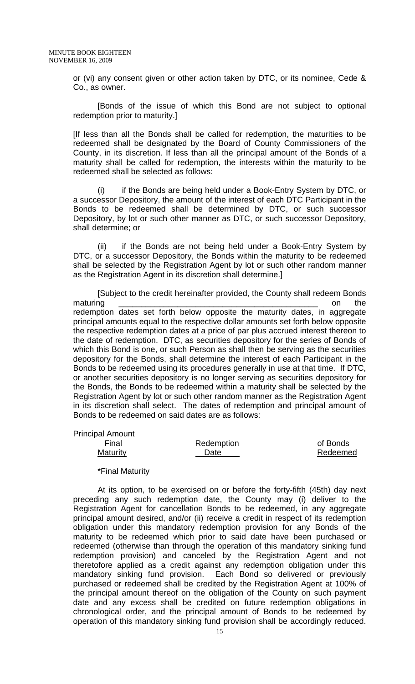or (vi) any consent given or other action taken by DTC, or its nominee, Cede & Co., as owner.

 [Bonds of the issue of which this Bond are not subject to optional redemption prior to maturity.]

[If less than all the Bonds shall be called for redemption, the maturities to be redeemed shall be designated by the Board of County Commissioners of the County, in its discretion. If less than all the principal amount of the Bonds of a maturity shall be called for redemption, the interests within the maturity to be redeemed shall be selected as follows:

 (i) if the Bonds are being held under a Book-Entry System by DTC, or a successor Depository, the amount of the interest of each DTC Participant in the Bonds to be redeemed shall be determined by DTC, or such successor Depository, by lot or such other manner as DTC, or such successor Depository, shall determine; or

 (ii) if the Bonds are not being held under a Book-Entry System by DTC, or a successor Depository, the Bonds within the maturity to be redeemed shall be selected by the Registration Agent by lot or such other random manner as the Registration Agent in its discretion shall determine.]

 [Subject to the credit hereinafter provided, the County shall redeem Bonds maturing \_\_\_\_\_\_\_\_\_\_\_\_\_\_\_\_\_\_\_\_\_\_\_\_\_\_\_\_\_\_\_\_\_\_\_\_\_\_\_\_\_\_\_\_ on the redemption dates set forth below opposite the maturity dates, in aggregate principal amounts equal to the respective dollar amounts set forth below opposite the respective redemption dates at a price of par plus accrued interest thereon to the date of redemption. DTC, as securities depository for the series of Bonds of which this Bond is one, or such Person as shall then be serving as the securities depository for the Bonds, shall determine the interest of each Participant in the Bonds to be redeemed using its procedures generally in use at that time. If DTC, or another securities depository is no longer serving as securities depository for the Bonds, the Bonds to be redeemed within a maturity shall be selected by the Registration Agent by lot or such other random manner as the Registration Agent in its discretion shall select. The dates of redemption and principal amount of Bonds to be redeemed on said dates are as follows:

Principal Amount

| Final           | Redemption | of Bonds |
|-----------------|------------|----------|
| <b>Maturity</b> | Date       | Redeemed |

#### \*Final Maturity

 At its option, to be exercised on or before the forty-fifth (45th) day next preceding any such redemption date, the County may (i) deliver to the Registration Agent for cancellation Bonds to be redeemed, in any aggregate principal amount desired, and/or (ii) receive a credit in respect of its redemption obligation under this mandatory redemption provision for any Bonds of the maturity to be redeemed which prior to said date have been purchased or redeemed (otherwise than through the operation of this mandatory sinking fund redemption provision) and canceled by the Registration Agent and not theretofore applied as a credit against any redemption obligation under this mandatory sinking fund provision. Each Bond so delivered or previously purchased or redeemed shall be credited by the Registration Agent at 100% of the principal amount thereof on the obligation of the County on such payment date and any excess shall be credited on future redemption obligations in chronological order, and the principal amount of Bonds to be redeemed by operation of this mandatory sinking fund provision shall be accordingly reduced.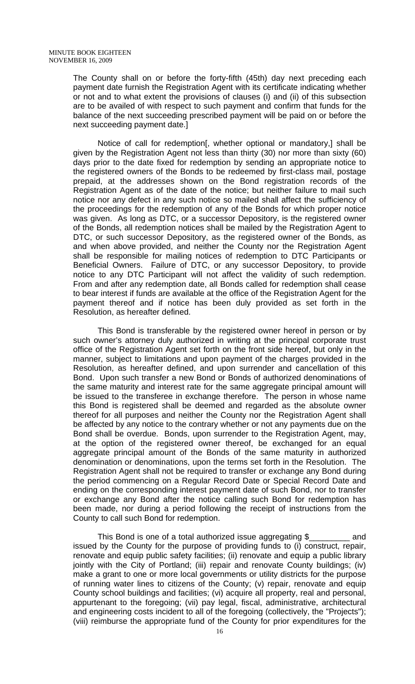The County shall on or before the forty-fifth (45th) day next preceding each payment date furnish the Registration Agent with its certificate indicating whether or not and to what extent the provisions of clauses (i) and (ii) of this subsection are to be availed of with respect to such payment and confirm that funds for the balance of the next succeeding prescribed payment will be paid on or before the next succeeding payment date.]

 Notice of call for redemption[, whether optional or mandatory,] shall be given by the Registration Agent not less than thirty (30) nor more than sixty (60) days prior to the date fixed for redemption by sending an appropriate notice to the registered owners of the Bonds to be redeemed by first-class mail, postage prepaid, at the addresses shown on the Bond registration records of the Registration Agent as of the date of the notice; but neither failure to mail such notice nor any defect in any such notice so mailed shall affect the sufficiency of the proceedings for the redemption of any of the Bonds for which proper notice was given. As long as DTC, or a successor Depository, is the registered owner of the Bonds, all redemption notices shall be mailed by the Registration Agent to DTC, or such successor Depository, as the registered owner of the Bonds, as and when above provided, and neither the County nor the Registration Agent shall be responsible for mailing notices of redemption to DTC Participants or Beneficial Owners. Failure of DTC, or any successor Depository, to provide notice to any DTC Participant will not affect the validity of such redemption. From and after any redemption date, all Bonds called for redemption shall cease to bear interest if funds are available at the office of the Registration Agent for the payment thereof and if notice has been duly provided as set forth in the Resolution, as hereafter defined.

 This Bond is transferable by the registered owner hereof in person or by such owner's attorney duly authorized in writing at the principal corporate trust office of the Registration Agent set forth on the front side hereof, but only in the manner, subject to limitations and upon payment of the charges provided in the Resolution, as hereafter defined, and upon surrender and cancellation of this Bond. Upon such transfer a new Bond or Bonds of authorized denominations of the same maturity and interest rate for the same aggregate principal amount will be issued to the transferee in exchange therefore. The person in whose name this Bond is registered shall be deemed and regarded as the absolute owner thereof for all purposes and neither the County nor the Registration Agent shall be affected by any notice to the contrary whether or not any payments due on the Bond shall be overdue. Bonds, upon surrender to the Registration Agent, may, at the option of the registered owner thereof, be exchanged for an equal aggregate principal amount of the Bonds of the same maturity in authorized denomination or denominations, upon the terms set forth in the Resolution. The Registration Agent shall not be required to transfer or exchange any Bond during the period commencing on a Regular Record Date or Special Record Date and ending on the corresponding interest payment date of such Bond, nor to transfer or exchange any Bond after the notice calling such Bond for redemption has been made, nor during a period following the receipt of instructions from the County to call such Bond for redemption.

 This Bond is one of a total authorized issue aggregating \$\_\_\_\_\_\_\_\_\_ and issued by the County for the purpose of providing funds to (i) construct, repair, renovate and equip public safety facilities; (ii) renovate and equip a public library jointly with the City of Portland; (iii) repair and renovate County buildings; (iv) make a grant to one or more local governments or utility districts for the purpose of running water lines to citizens of the County; (v) repair, renovate and equip County school buildings and facilities; (vi) acquire all property, real and personal, appurtenant to the foregoing; (vii) pay legal, fiscal, administrative, architectural and engineering costs incident to all of the foregoing (collectively, the "Projects"); (viii) reimburse the appropriate fund of the County for prior expenditures for the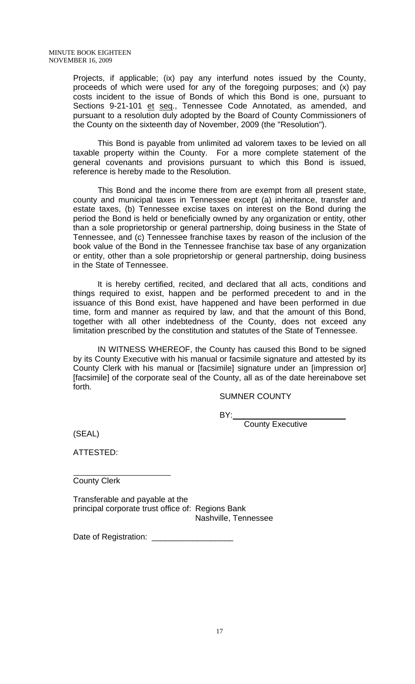Projects, if applicable; (ix) pay any interfund notes issued by the County, proceeds of which were used for any of the foregoing purposes; and (x) pay costs incident to the issue of Bonds of which this Bond is one, pursuant to Sections 9-21-101 et seq., Tennessee Code Annotated, as amended, and pursuant to a resolution duly adopted by the Board of County Commissioners of the County on the sixteenth day of November, 2009 (the "Resolution").

 This Bond is payable from unlimited ad valorem taxes to be levied on all taxable property within the County. For a more complete statement of the general covenants and provisions pursuant to which this Bond is issued, reference is hereby made to the Resolution.

 This Bond and the income there from are exempt from all present state, county and municipal taxes in Tennessee except (a) inheritance, transfer and estate taxes, (b) Tennessee excise taxes on interest on the Bond during the period the Bond is held or beneficially owned by any organization or entity, other than a sole proprietorship or general partnership, doing business in the State of Tennessee, and (c) Tennessee franchise taxes by reason of the inclusion of the book value of the Bond in the Tennessee franchise tax base of any organization or entity, other than a sole proprietorship or general partnership, doing business in the State of Tennessee.

 It is hereby certified, recited, and declared that all acts, conditions and things required to exist, happen and be performed precedent to and in the issuance of this Bond exist, have happened and have been performed in due time, form and manner as required by law, and that the amount of this Bond, together with all other indebtedness of the County, does not exceed any limitation prescribed by the constitution and statutes of the State of Tennessee.

 IN WITNESS WHEREOF, the County has caused this Bond to be signed by its County Executive with his manual or facsimile signature and attested by its County Clerk with his manual or [facsimile] signature under an [impression or] [facsimile] of the corporate seal of the County, all as of the date hereinabove set forth.

SUMNER COUNTY

and the contract of the contract of the BY:

County Executive

(SEAL)

ATTESTED:

 $\overline{a}$ County Clerk

Transferable and payable at the principal corporate trust office of: Regions Bank Nashville, Tennessee

Date of Registration: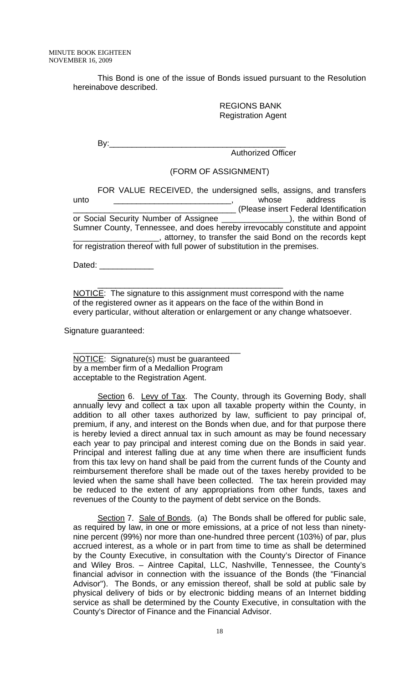This Bond is one of the issue of Bonds issued pursuant to the Resolution hereinabove described.

> REGIONS BANK Registration Agent

 By:\_\_\_\_\_\_\_\_\_\_\_\_\_\_\_\_\_\_\_\_\_\_\_\_\_\_\_\_\_\_\_\_\_\_\_\_\_\_\_ Authorized Officer

(FORM OF ASSIGNMENT)

 FOR VALUE RECEIVED, the undersigned sells, assigns, and transfers unto the contract of the contract of the contract of the contract of the contract of the contract of the contra \_\_\_\_\_\_\_\_\_\_\_\_\_\_\_\_\_\_\_\_\_\_\_\_\_\_\_\_\_\_\_\_\_\_\_\_ (Please insert Federal Identification or Social Security Number of Assignee \_\_\_\_\_\_\_\_\_\_\_\_\_\_\_\_), the within Bond of Sumner County, Tennessee, and does hereby irrevocably constitute and appoint  $\_,$  attorney, to transfer the said Bond on the records kept for registration thereof with full power of substitution in the premises.

Dated: \_\_\_\_\_\_\_\_\_\_\_\_\_\_\_

 NOTICE: The signature to this assignment must correspond with the name of the registered owner as it appears on the face of the within Bond in every particular, without alteration or enlargement or any change whatsoever.

 $\overline{\phantom{a}}$  ,  $\overline{\phantom{a}}$  ,  $\overline{\phantom{a}}$  ,  $\overline{\phantom{a}}$  ,  $\overline{\phantom{a}}$  ,  $\overline{\phantom{a}}$  ,  $\overline{\phantom{a}}$  ,  $\overline{\phantom{a}}$  ,  $\overline{\phantom{a}}$  ,  $\overline{\phantom{a}}$  ,  $\overline{\phantom{a}}$  ,  $\overline{\phantom{a}}$  ,  $\overline{\phantom{a}}$  ,  $\overline{\phantom{a}}$  ,  $\overline{\phantom{a}}$  ,  $\overline{\phantom{a}}$ 

Signature guaranteed:

**NOTICE:** Signature(s) must be guaranteed by a member firm of a Medallion Program acceptable to the Registration Agent.

\_\_\_\_\_\_\_\_\_\_\_\_\_\_\_\_\_\_\_\_\_\_\_\_\_\_\_\_\_\_\_\_\_\_\_\_\_

Section 6. Levy of Tax. The County, through its Governing Body, shall annually levy and collect a tax upon all taxable property within the County, in addition to all other taxes authorized by law, sufficient to pay principal of, premium, if any, and interest on the Bonds when due, and for that purpose there is hereby levied a direct annual tax in such amount as may be found necessary each year to pay principal and interest coming due on the Bonds in said year. Principal and interest falling due at any time when there are insufficient funds from this tax levy on hand shall be paid from the current funds of the County and reimbursement therefore shall be made out of the taxes hereby provided to be levied when the same shall have been collected. The tax herein provided may be reduced to the extent of any appropriations from other funds, taxes and revenues of the County to the payment of debt service on the Bonds.

Section 7. Sale of Bonds. (a) The Bonds shall be offered for public sale, as required by law, in one or more emissions, at a price of not less than ninetynine percent (99%) nor more than one-hundred three percent (103%) of par, plus accrued interest, as a whole or in part from time to time as shall be determined by the County Executive, in consultation with the County's Director of Finance and Wiley Bros. – Aintree Capital, LLC, Nashville, Tennessee, the County's financial advisor in connection with the issuance of the Bonds (the "Financial Advisor"). The Bonds, or any emission thereof, shall be sold at public sale by physical delivery of bids or by electronic bidding means of an Internet bidding service as shall be determined by the County Executive, in consultation with the County's Director of Finance and the Financial Advisor.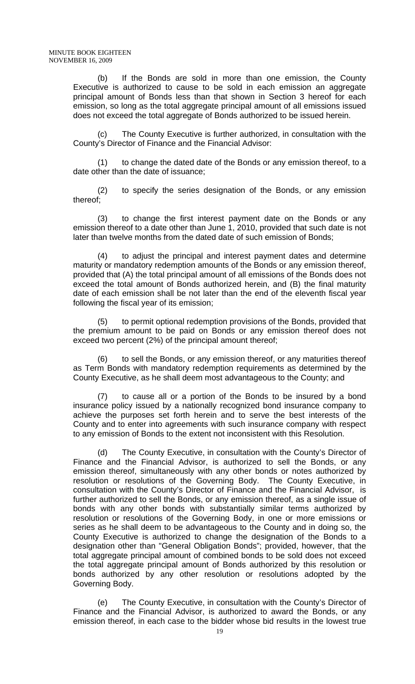(b) If the Bonds are sold in more than one emission, the County Executive is authorized to cause to be sold in each emission an aggregate principal amount of Bonds less than that shown in Section 3 hereof for each emission, so long as the total aggregate principal amount of all emissions issued does not exceed the total aggregate of Bonds authorized to be issued herein.

 (c) The County Executive is further authorized, in consultation with the County's Director of Finance and the Financial Advisor:

(1) to change the dated date of the Bonds or any emission thereof, to a date other than the date of issuance;

(2) to specify the series designation of the Bonds, or any emission thereof;

 (3) to change the first interest payment date on the Bonds or any emission thereof to a date other than June 1, 2010, provided that such date is not later than twelve months from the dated date of such emission of Bonds;

 (4) to adjust the principal and interest payment dates and determine maturity or mandatory redemption amounts of the Bonds or any emission thereof, provided that (A) the total principal amount of all emissions of the Bonds does not exceed the total amount of Bonds authorized herein, and (B) the final maturity date of each emission shall be not later than the end of the eleventh fiscal year following the fiscal year of its emission;

 (5) to permit optional redemption provisions of the Bonds, provided that the premium amount to be paid on Bonds or any emission thereof does not exceed two percent (2%) of the principal amount thereof;

(6) to sell the Bonds, or any emission thereof, or any maturities thereof as Term Bonds with mandatory redemption requirements as determined by the County Executive, as he shall deem most advantageous to the County; and

to cause all or a portion of the Bonds to be insured by a bond insurance policy issued by a nationally recognized bond insurance company to achieve the purposes set forth herein and to serve the best interests of the County and to enter into agreements with such insurance company with respect to any emission of Bonds to the extent not inconsistent with this Resolution.

 (d) The County Executive, in consultation with the County's Director of Finance and the Financial Advisor, is authorized to sell the Bonds, or any emission thereof, simultaneously with any other bonds or notes authorized by resolution or resolutions of the Governing Body. The County Executive, in consultation with the County's Director of Finance and the Financial Advisor, is further authorized to sell the Bonds, or any emission thereof, as a single issue of bonds with any other bonds with substantially similar terms authorized by resolution or resolutions of the Governing Body, in one or more emissions or series as he shall deem to be advantageous to the County and in doing so, the County Executive is authorized to change the designation of the Bonds to a designation other than "General Obligation Bonds"; provided, however, that the total aggregate principal amount of combined bonds to be sold does not exceed the total aggregate principal amount of Bonds authorized by this resolution or bonds authorized by any other resolution or resolutions adopted by the Governing Body.

 (e) The County Executive, in consultation with the County's Director of Finance and the Financial Advisor, is authorized to award the Bonds, or any emission thereof, in each case to the bidder whose bid results in the lowest true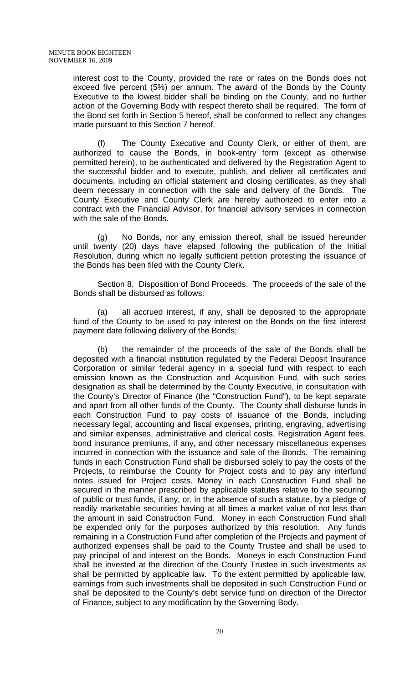interest cost to the County, provided the rate or rates on the Bonds does not exceed five percent (5%) per annum. The award of the Bonds by the County Executive to the lowest bidder shall be binding on the County, and no further action of the Governing Body with respect thereto shall be required. The form of the Bond set forth in Section 5 hereof, shall be conformed to reflect any changes made pursuant to this Section 7 hereof.

 (f) The County Executive and County Clerk, or either of them, are authorized to cause the Bonds, in book-entry form (except as otherwise permitted herein), to be authenticated and delivered by the Registration Agent to the successful bidder and to execute, publish, and deliver all certificates and documents, including an official statement and closing certificates, as they shall deem necessary in connection with the sale and delivery of the Bonds. The County Executive and County Clerk are hereby authorized to enter into a contract with the Financial Advisor, for financial advisory services in connection with the sale of the Bonds.

 (g) No Bonds, nor any emission thereof, shall be issued hereunder until twenty (20) days have elapsed following the publication of the Initial Resolution, during which no legally sufficient petition protesting the issuance of the Bonds has been filed with the County Clerk.

Section 8. Disposition of Bond Proceeds. The proceeds of the sale of the Bonds shall be disbursed as follows:

 (a) all accrued interest, if any, shall be deposited to the appropriate fund of the County to be used to pay interest on the Bonds on the first interest payment date following delivery of the Bonds;

 (b) the remainder of the proceeds of the sale of the Bonds shall be deposited with a financial institution regulated by the Federal Deposit Insurance Corporation or similar federal agency in a special fund with respect to each emission known as the Construction and Acquisition Fund, with such series designation as shall be determined by the County Executive, in consultation with the County's Director of Finance (the "Construction Fund"), to be kept separate and apart from all other funds of the County. The County shall disburse funds in each Construction Fund to pay costs of issuance of the Bonds, including necessary legal, accounting and fiscal expenses, printing, engraving, advertising and similar expenses, administrative and clerical costs, Registration Agent fees, bond insurance premiums, if any, and other necessary miscellaneous expenses incurred in connection with the issuance and sale of the Bonds. The remaining funds in each Construction Fund shall be disbursed solely to pay the costs of the Projects, to reimburse the County for Project costs and to pay any interfund notes issued for Project costs. Money in each Construction Fund shall be secured in the manner prescribed by applicable statutes relative to the securing of public or trust funds, if any, or, in the absence of such a statute, by a pledge of readily marketable securities having at all times a market value of not less than the amount in said Construction Fund. Money in each Construction Fund shall be expended only for the purposes authorized by this resolution. Any funds remaining in a Construction Fund after completion of the Projects and payment of authorized expenses shall be paid to the County Trustee and shall be used to pay principal of and interest on the Bonds. Moneys in each Construction Fund shall be invested at the direction of the County Trustee in such investments as shall be permitted by applicable law. To the extent permitted by applicable law, earnings from such investments shall be deposited in such Construction Fund or shall be deposited to the County's debt service fund on direction of the Director of Finance, subject to any modification by the Governing Body.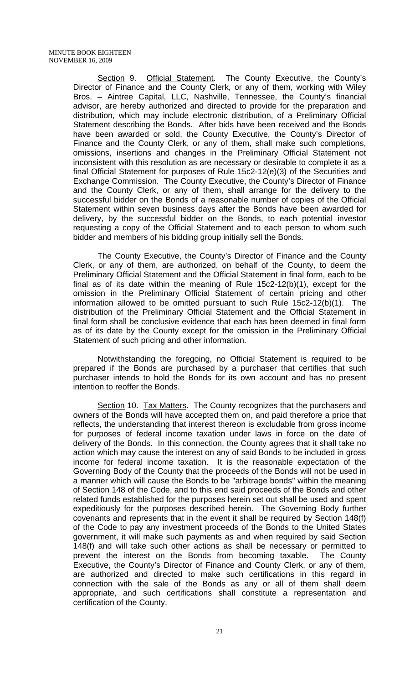Section 9. Official Statement. The County Executive, the County's Director of Finance and the County Clerk, or any of them, working with Wiley Bros. – Aintree Capital, LLC, Nashville, Tennessee, the County's financial advisor, are hereby authorized and directed to provide for the preparation and distribution, which may include electronic distribution, of a Preliminary Official Statement describing the Bonds. After bids have been received and the Bonds have been awarded or sold, the County Executive, the County's Director of Finance and the County Clerk, or any of them, shall make such completions, omissions, insertions and changes in the Preliminary Official Statement not inconsistent with this resolution as are necessary or desirable to complete it as a final Official Statement for purposes of Rule 15c2-12(e)(3) of the Securities and Exchange Commission. The County Executive, the County's Director of Finance and the County Clerk, or any of them, shall arrange for the delivery to the successful bidder on the Bonds of a reasonable number of copies of the Official Statement within seven business days after the Bonds have been awarded for delivery, by the successful bidder on the Bonds, to each potential investor requesting a copy of the Official Statement and to each person to whom such bidder and members of his bidding group initially sell the Bonds.

 The County Executive, the County's Director of Finance and the County Clerk, or any of them, are authorized, on behalf of the County, to deem the Preliminary Official Statement and the Official Statement in final form, each to be final as of its date within the meaning of Rule 15c2-12(b)(1), except for the omission in the Preliminary Official Statement of certain pricing and other information allowed to be omitted pursuant to such Rule 15c2-12(b)(1). The distribution of the Preliminary Official Statement and the Official Statement in final form shall be conclusive evidence that each has been deemed in final form as of its date by the County except for the omission in the Preliminary Official Statement of such pricing and other information.

 Notwithstanding the foregoing, no Official Statement is required to be prepared if the Bonds are purchased by a purchaser that certifies that such purchaser intends to hold the Bonds for its own account and has no present intention to reoffer the Bonds.

Section 10. Tax Matters. The County recognizes that the purchasers and owners of the Bonds will have accepted them on, and paid therefore a price that reflects, the understanding that interest thereon is excludable from gross income for purposes of federal income taxation under laws in force on the date of delivery of the Bonds. In this connection, the County agrees that it shall take no action which may cause the interest on any of said Bonds to be included in gross income for federal income taxation. It is the reasonable expectation of the Governing Body of the County that the proceeds of the Bonds will not be used in a manner which will cause the Bonds to be "arbitrage bonds" within the meaning of Section 148 of the Code, and to this end said proceeds of the Bonds and other related funds established for the purposes herein set out shall be used and spent expeditiously for the purposes described herein. The Governing Body further covenants and represents that in the event it shall be required by Section 148(f) of the Code to pay any investment proceeds of the Bonds to the United States government, it will make such payments as and when required by said Section 148(f) and will take such other actions as shall be necessary or permitted to prevent the interest on the Bonds from becoming taxable. The County Executive, the County's Director of Finance and County Clerk, or any of them, are authorized and directed to make such certifications in this regard in connection with the sale of the Bonds as any or all of them shall deem appropriate, and such certifications shall constitute a representation and certification of the County.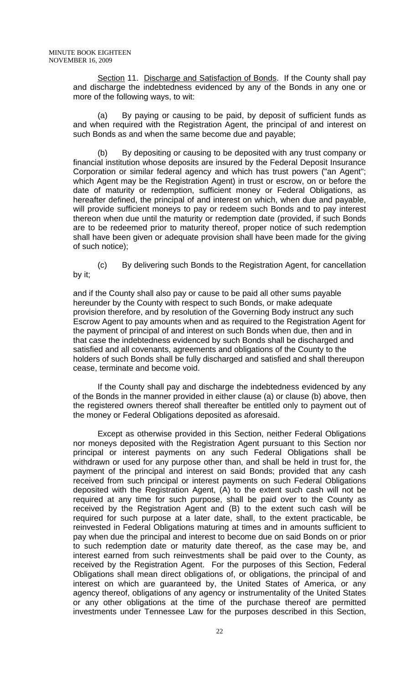Section 11. Discharge and Satisfaction of Bonds. If the County shall pay and discharge the indebtedness evidenced by any of the Bonds in any one or more of the following ways, to wit:

 (a) By paying or causing to be paid, by deposit of sufficient funds as and when required with the Registration Agent, the principal of and interest on such Bonds as and when the same become due and payable;

 (b) By depositing or causing to be deposited with any trust company or financial institution whose deposits are insured by the Federal Deposit Insurance Corporation or similar federal agency and which has trust powers ("an Agent"; which Agent may be the Registration Agent) in trust or escrow, on or before the date of maturity or redemption, sufficient money or Federal Obligations, as hereafter defined, the principal of and interest on which, when due and payable, will provide sufficient moneys to pay or redeem such Bonds and to pay interest thereon when due until the maturity or redemption date (provided, if such Bonds are to be redeemed prior to maturity thereof, proper notice of such redemption shall have been given or adequate provision shall have been made for the giving of such notice);

 (c) By delivering such Bonds to the Registration Agent, for cancellation by it;

and if the County shall also pay or cause to be paid all other sums payable hereunder by the County with respect to such Bonds, or make adequate provision therefore, and by resolution of the Governing Body instruct any such Escrow Agent to pay amounts when and as required to the Registration Agent for the payment of principal of and interest on such Bonds when due, then and in that case the indebtedness evidenced by such Bonds shall be discharged and satisfied and all covenants, agreements and obligations of the County to the holders of such Bonds shall be fully discharged and satisfied and shall thereupon cease, terminate and become void.

 If the County shall pay and discharge the indebtedness evidenced by any of the Bonds in the manner provided in either clause (a) or clause (b) above, then the registered owners thereof shall thereafter be entitled only to payment out of the money or Federal Obligations deposited as aforesaid.

 Except as otherwise provided in this Section, neither Federal Obligations nor moneys deposited with the Registration Agent pursuant to this Section nor principal or interest payments on any such Federal Obligations shall be withdrawn or used for any purpose other than, and shall be held in trust for, the payment of the principal and interest on said Bonds; provided that any cash received from such principal or interest payments on such Federal Obligations deposited with the Registration Agent, (A) to the extent such cash will not be required at any time for such purpose, shall be paid over to the County as received by the Registration Agent and (B) to the extent such cash will be required for such purpose at a later date, shall, to the extent practicable, be reinvested in Federal Obligations maturing at times and in amounts sufficient to pay when due the principal and interest to become due on said Bonds on or prior to such redemption date or maturity date thereof, as the case may be, and interest earned from such reinvestments shall be paid over to the County, as received by the Registration Agent. For the purposes of this Section, Federal Obligations shall mean direct obligations of, or obligations, the principal of and interest on which are guaranteed by, the United States of America, or any agency thereof, obligations of any agency or instrumentality of the United States or any other obligations at the time of the purchase thereof are permitted investments under Tennessee Law for the purposes described in this Section,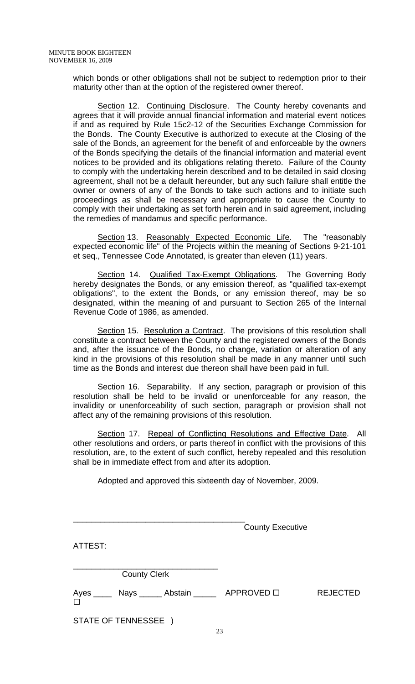which bonds or other obligations shall not be subject to redemption prior to their maturity other than at the option of the registered owner thereof.

Section 12. Continuing Disclosure. The County hereby covenants and agrees that it will provide annual financial information and material event notices if and as required by Rule 15c2-12 of the Securities Exchange Commission for the Bonds. The County Executive is authorized to execute at the Closing of the sale of the Bonds, an agreement for the benefit of and enforceable by the owners of the Bonds specifying the details of the financial information and material event notices to be provided and its obligations relating thereto. Failure of the County to comply with the undertaking herein described and to be detailed in said closing agreement, shall not be a default hereunder, but any such failure shall entitle the owner or owners of any of the Bonds to take such actions and to initiate such proceedings as shall be necessary and appropriate to cause the County to comply with their undertaking as set forth herein and in said agreement, including the remedies of mandamus and specific performance.

Section 13. Reasonably Expected Economic Life. The "reasonably expected economic life" of the Projects within the meaning of Sections 9-21-101 et seq., Tennessee Code Annotated, is greater than eleven (11) years.

Section 14. Qualified Tax-Exempt Obligations. The Governing Body hereby designates the Bonds, or any emission thereof, as "qualified tax-exempt obligations", to the extent the Bonds, or any emission thereof, may be so designated, within the meaning of and pursuant to Section 265 of the Internal Revenue Code of 1986, as amended.

Section 15. Resolution a Contract. The provisions of this resolution shall constitute a contract between the County and the registered owners of the Bonds and, after the issuance of the Bonds, no change, variation or alteration of any kind in the provisions of this resolution shall be made in any manner until such time as the Bonds and interest due thereon shall have been paid in full.

Section 16. Separability. If any section, paragraph or provision of this resolution shall be held to be invalid or unenforceable for any reason, the invalidity or unenforceability of such section, paragraph or provision shall not affect any of the remaining provisions of this resolution.

Section 17. Repeal of Conflicting Resolutions and Effective Date. All other resolutions and orders, or parts thereof in conflict with the provisions of this resolution, are, to the extent of such conflict, hereby repealed and this resolution shall be in immediate effect from and after its adoption.

Adopted and approved this sixteenth day of November, 2009.

|         |                      | <b>County Executive</b>                       |                 |
|---------|----------------------|-----------------------------------------------|-----------------|
| ATTEST: |                      |                                               |                 |
|         | <b>County Clerk</b>  |                                               |                 |
| $\Box$  |                      | Ayes ____ Nays _____ Abstain _____ APPROVED □ | <b>REJECTED</b> |
|         | STATE OF TENNESSEE ) |                                               |                 |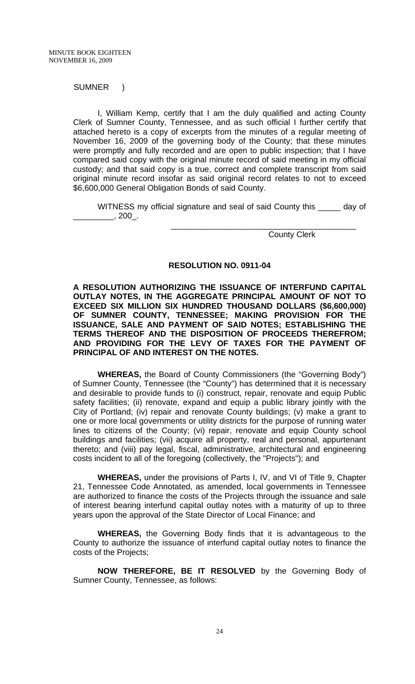SUMNER )

 I, William Kemp, certify that I am the duly qualified and acting County Clerk of Sumner County, Tennessee, and as such official I further certify that attached hereto is a copy of excerpts from the minutes of a regular meeting of November 16, 2009 of the governing body of the County; that these minutes were promptly and fully recorded and are open to public inspection; that I have compared said copy with the original minute record of said meeting in my official custody; and that said copy is a true, correct and complete transcript from said original minute record insofar as said original record relates to not to exceed \$6,600,000 General Obligation Bonds of said County.

 WITNESS my official signature and seal of said County this \_\_\_\_\_ day of  $\frac{1}{2}$ , 200<sup>1</sup>.

 $\frac{1}{\sqrt{2}}$  ,  $\frac{1}{\sqrt{2}}$  ,  $\frac{1}{\sqrt{2}}$  ,  $\frac{1}{\sqrt{2}}$  ,  $\frac{1}{\sqrt{2}}$  ,  $\frac{1}{\sqrt{2}}$  ,  $\frac{1}{\sqrt{2}}$  ,  $\frac{1}{\sqrt{2}}$  ,  $\frac{1}{\sqrt{2}}$  ,  $\frac{1}{\sqrt{2}}$  ,  $\frac{1}{\sqrt{2}}$  ,  $\frac{1}{\sqrt{2}}$  ,  $\frac{1}{\sqrt{2}}$  ,  $\frac{1}{\sqrt{2}}$  ,  $\frac{1}{\sqrt{2}}$ 

County Clerk

## **RESOLUTION NO. 0911-04**

**A RESOLUTION AUTHORIZING THE ISSUANCE OF INTERFUND CAPITAL OUTLAY NOTES, IN THE AGGREGATE PRINCIPAL AMOUNT OF NOT TO EXCEED SIX MILLION SIX HUNDRED THOUSAND DOLLARS (\$6,600,000) OF SUMNER COUNTY, TENNESSEE; MAKING PROVISION FOR THE ISSUANCE, SALE AND PAYMENT OF SAID NOTES; ESTABLISHING THE TERMS THEREOF AND THE DISPOSITION OF PROCEEDS THEREFROM; AND PROVIDING FOR THE LEVY OF TAXES FOR THE PAYMENT OF PRINCIPAL OF AND INTEREST ON THE NOTES.** 

**WHEREAS,** the Board of County Commissioners (the "Governing Body") of Sumner County, Tennessee (the "County") has determined that it is necessary and desirable to provide funds to (i) construct, repair, renovate and equip Public safety facilities; (ii) renovate, expand and equip a public library jointly with the City of Portland; (iv) repair and renovate County buildings; (v) make a grant to one or more local governments or utility districts for the purpose of running water lines to citizens of the County; (vi) repair, renovate and equip County school buildings and facilities; (vii) acquire all property, real and personal, appurtenant thereto; and (viii) pay legal, fiscal, administrative, architectural and engineering costs incident to all of the foregoing (collectively, the "Projects"); and

**WHEREAS,** under the provisions of Parts I, IV, and VI of Title 9, Chapter 21, Tennessee Code Annotated, as amended, local governments in Tennessee are authorized to finance the costs of the Projects through the issuance and sale of interest bearing interfund capital outlay notes with a maturity of up to three years upon the approval of the State Director of Local Finance; and

**WHEREAS,** the Governing Body finds that it is advantageous to the County to authorize the issuance of interfund capital outlay notes to finance the costs of the Projects;

**NOW THEREFORE, BE IT RESOLVED** by the Governing Body of Sumner County, Tennessee, as follows: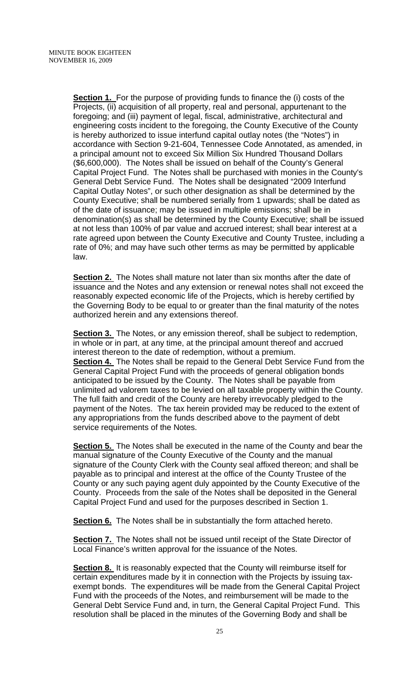**Section 1.** For the purpose of providing funds to finance the (i) costs of the Projects, (ii) acquisition of all property, real and personal, appurtenant to the foregoing; and (iii) payment of legal, fiscal, administrative, architectural and engineering costs incident to the foregoing, the County Executive of the County is hereby authorized to issue interfund capital outlay notes (the "Notes") in accordance with Section 9-21-604, Tennessee Code Annotated, as amended, in a principal amount not to exceed Six Million Six Hundred Thousand Dollars (\$6,600,000). The Notes shall be issued on behalf of the County's General Capital Project Fund. The Notes shall be purchased with monies in the County's General Debt Service Fund. The Notes shall be designated "2009 Interfund Capital Outlay Notes", or such other designation as shall be determined by the County Executive; shall be numbered serially from 1 upwards; shall be dated as of the date of issuance; may be issued in multiple emissions; shall be in denomination(s) as shall be determined by the County Executive; shall be issued at not less than 100% of par value and accrued interest; shall bear interest at a rate agreed upon between the County Executive and County Trustee, including a rate of 0%; and may have such other terms as may be permitted by applicable law.

**Section 2.** The Notes shall mature not later than six months after the date of issuance and the Notes and any extension or renewal notes shall not exceed the reasonably expected economic life of the Projects, which is hereby certified by the Governing Body to be equal to or greater than the final maturity of the notes authorized herein and any extensions thereof.

**Section 3.** The Notes, or any emission thereof, shall be subject to redemption, in whole or in part, at any time, at the principal amount thereof and accrued interest thereon to the date of redemption, without a premium. **Section 4.** The Notes shall be repaid to the General Debt Service Fund from the General Capital Project Fund with the proceeds of general obligation bonds anticipated to be issued by the County. The Notes shall be payable from unlimited ad valorem taxes to be levied on all taxable property within the County. The full faith and credit of the County are hereby irrevocably pledged to the payment of the Notes. The tax herein provided may be reduced to the extent of any appropriations from the funds described above to the payment of debt service requirements of the Notes.

**Section 5.** The Notes shall be executed in the name of the County and bear the manual signature of the County Executive of the County and the manual signature of the County Clerk with the County seal affixed thereon; and shall be payable as to principal and interest at the office of the County Trustee of the County or any such paying agent duly appointed by the County Executive of the County. Proceeds from the sale of the Notes shall be deposited in the General Capital Project Fund and used for the purposes described in Section 1.

**Section 6.** The Notes shall be in substantially the form attached hereto.

**Section 7.** The Notes shall not be issued until receipt of the State Director of Local Finance's written approval for the issuance of the Notes.

**Section 8.** It is reasonably expected that the County will reimburse itself for certain expenditures made by it in connection with the Projects by issuing taxexempt bonds. The expenditures will be made from the General Capital Project Fund with the proceeds of the Notes, and reimbursement will be made to the General Debt Service Fund and, in turn, the General Capital Project Fund. This resolution shall be placed in the minutes of the Governing Body and shall be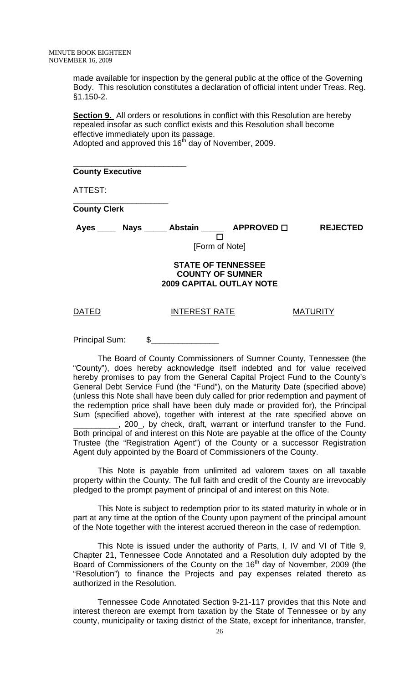made available for inspection by the general public at the office of the Governing Body. This resolution constitutes a declaration of official intent under Treas. Reg. §1.150-2.

**Section 9.** All orders or resolutions in conflict with this Resolution are hereby repealed insofar as such conflict exists and this Resolution shall become effective immediately upon its passage. Adopted and approved this  $16<sup>th</sup>$  day of November, 2009.

## **County Executive**

\_\_\_\_\_\_\_\_\_\_\_\_\_\_\_\_\_\_\_\_\_\_\_\_\_

\_\_\_\_\_\_\_\_\_\_\_\_\_\_\_\_\_\_\_\_\_

ATTEST:

**County Clerk** 

Ayes \_\_\_\_ Nays \_\_\_\_\_ Abstain \_\_\_\_\_ APPROVED  $\Box$  REJECTED  $\Box$ 

[Form of Note]

## **STATE OF TENNESSEE COUNTY OF SUMNER 2009 CAPITAL OUTLAY NOTE**

## DATED INTEREST RATE MATURITY

Principal Sum: \$

The Board of County Commissioners of Sumner County, Tennessee (the "County"), does hereby acknowledge itself indebted and for value received hereby promises to pay from the General Capital Project Fund to the County's General Debt Service Fund (the "Fund"), on the Maturity Date (specified above) (unless this Note shall have been duly called for prior redemption and payment of the redemption price shall have been duly made or provided for), the Principal Sum (specified above), together with interest at the rate specified above on

\_\_\_\_\_\_\_\_\_\_, 200\_, by check, draft, warrant or interfund transfer to the Fund. Both principal of and interest on this Note are payable at the office of the County Trustee (the "Registration Agent") of the County or a successor Registration Agent duly appointed by the Board of Commissioners of the County.

This Note is payable from unlimited ad valorem taxes on all taxable property within the County. The full faith and credit of the County are irrevocably pledged to the prompt payment of principal of and interest on this Note.

This Note is subject to redemption prior to its stated maturity in whole or in part at any time at the option of the County upon payment of the principal amount of the Note together with the interest accrued thereon in the case of redemption.

This Note is issued under the authority of Parts, I, IV and VI of Title 9, Chapter 21, Tennessee Code Annotated and a Resolution duly adopted by the Board of Commissioners of the County on the 16<sup>th</sup> day of November, 2009 (the "Resolution") to finance the Projects and pay expenses related thereto as authorized in the Resolution.

Tennessee Code Annotated Section 9-21-117 provides that this Note and interest thereon are exempt from taxation by the State of Tennessee or by any county, municipality or taxing district of the State, except for inheritance, transfer,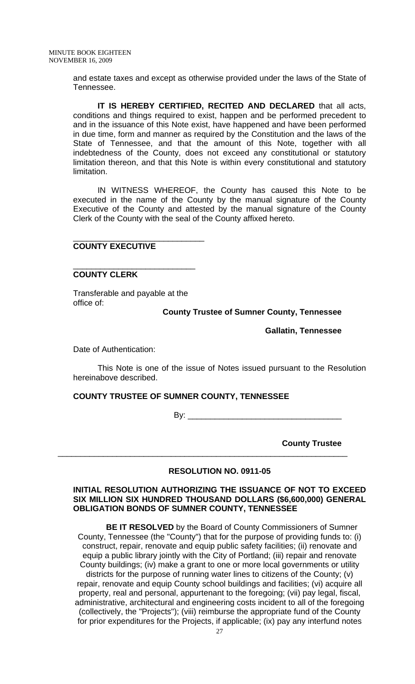and estate taxes and except as otherwise provided under the laws of the State of Tennessee.

**IT IS HEREBY CERTIFIED, RECITED AND DECLARED** that all acts, conditions and things required to exist, happen and be performed precedent to and in the issuance of this Note exist, have happened and have been performed in due time, form and manner as required by the Constitution and the laws of the State of Tennessee, and that the amount of this Note, together with all indebtedness of the County, does not exceed any constitutional or statutory limitation thereon, and that this Note is within every constitutional and statutory limitation.

IN WITNESS WHEREOF, the County has caused this Note to be executed in the name of the County by the manual signature of the County Executive of the County and attested by the manual signature of the County Clerk of the County with the seal of the County affixed hereto.

## **COUNTY EXECUTIVE**

## **COUNTY CLERK**

Transferable and payable at the office of:

\_\_\_\_\_\_\_\_\_\_\_\_\_\_\_\_\_\_\_\_\_\_\_\_\_\_\_\_\_

\_\_\_\_\_\_\_\_\_\_\_\_\_\_\_\_\_\_\_\_\_\_\_\_\_\_\_

## **County Trustee of Sumner County, Tennessee**

 **Gallatin, Tennessee** 

Date of Authentication:

This Note is one of the issue of Notes issued pursuant to the Resolution hereinabove described.

## **COUNTY TRUSTEE OF SUMNER COUNTY, TENNESSEE**

By: \_\_\_\_\_\_\_\_\_\_\_\_\_\_\_\_\_\_\_\_\_\_\_\_\_\_\_\_\_\_\_\_\_\_

**County Trustee** 

## **RESOLUTION NO. 0911-05**

\_\_\_\_\_\_\_\_\_\_\_\_\_\_\_\_\_\_\_\_\_\_\_\_\_\_\_\_\_\_\_\_\_\_\_\_\_\_\_\_\_\_\_\_\_\_\_\_\_\_\_\_\_\_\_\_\_\_\_\_\_\_\_\_

#### **INITIAL RESOLUTION AUTHORIZING THE ISSUANCE OF NOT TO EXCEED SIX MILLION SIX HUNDRED THOUSAND DOLLARS (\$6,600,000) GENERAL OBLIGATION BONDS OF SUMNER COUNTY, TENNESSEE**

**BE IT RESOLVED** by the Board of County Commissioners of Sumner County, Tennessee (the "County") that for the purpose of providing funds to: (i) construct, repair, renovate and equip public safety facilities; (ii) renovate and equip a public library jointly with the City of Portland; (iii) repair and renovate County buildings; (iv) make a grant to one or more local governments or utility districts for the purpose of running water lines to citizens of the County; (v) repair, renovate and equip County school buildings and facilities; (vi) acquire all property, real and personal, appurtenant to the foregoing; (vii) pay legal, fiscal, administrative, architectural and engineering costs incident to all of the foregoing (collectively, the "Projects"); (viii) reimburse the appropriate fund of the County for prior expenditures for the Projects, if applicable; (ix) pay any interfund notes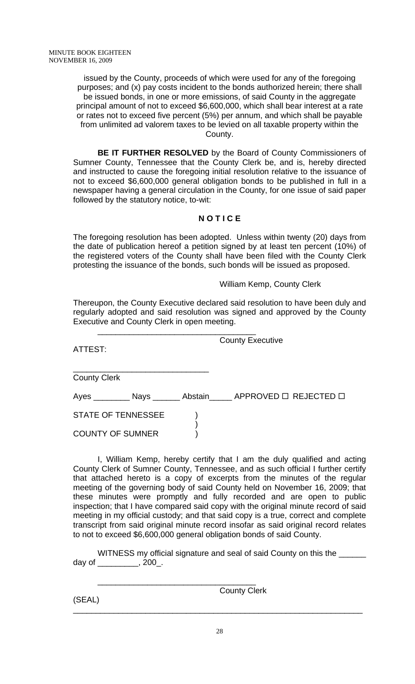issued by the County, proceeds of which were used for any of the foregoing purposes; and (x) pay costs incident to the bonds authorized herein; there shall be issued bonds, in one or more emissions, of said County in the aggregate principal amount of not to exceed \$6,600,000, which shall bear interest at a rate or rates not to exceed five percent (5%) per annum, and which shall be payable from unlimited ad valorem taxes to be levied on all taxable property within the County.

**BE IT FURTHER RESOLVED** by the Board of County Commissioners of Sumner County, Tennessee that the County Clerk be, and is, hereby directed and instructed to cause the foregoing initial resolution relative to the issuance of not to exceed \$6,600,000 general obligation bonds to be published in full in a newspaper having a general circulation in the County, for one issue of said paper followed by the statutory notice, to-wit:

## **N O T I C E**

The foregoing resolution has been adopted. Unless within twenty (20) days from the date of publication hereof a petition signed by at least ten percent (10%) of the registered voters of the County shall have been filed with the County Clerk protesting the issuance of the bonds, such bonds will be issued as proposed.

## William Kemp, County Clerk

Thereupon, the County Executive declared said resolution to have been duly and regularly adopted and said resolution was signed and approved by the County Executive and County Clerk in open meeting.

 $\frac{1}{\sqrt{2}}$  ,  $\frac{1}{\sqrt{2}}$  ,  $\frac{1}{\sqrt{2}}$  ,  $\frac{1}{\sqrt{2}}$  ,  $\frac{1}{\sqrt{2}}$  ,  $\frac{1}{\sqrt{2}}$  ,  $\frac{1}{\sqrt{2}}$  ,  $\frac{1}{\sqrt{2}}$  ,  $\frac{1}{\sqrt{2}}$  ,  $\frac{1}{\sqrt{2}}$  ,  $\frac{1}{\sqrt{2}}$  ,  $\frac{1}{\sqrt{2}}$  ,  $\frac{1}{\sqrt{2}}$  ,  $\frac{1}{\sqrt{2}}$  ,  $\frac{1}{\sqrt{2}}$ 

ATTEST:

County Executive

\_\_\_\_\_\_\_\_\_\_\_\_\_\_\_\_\_\_\_\_\_\_\_\_\_\_\_\_\_\_ County Clerk

|                         |  | Ayes ____________ Nays _________ Abstain_______ APPROVED □ REJECTED □ |  |
|-------------------------|--|-----------------------------------------------------------------------|--|
| STATE OF TENNESSEE      |  |                                                                       |  |
| <b>COUNTY OF SUMNER</b> |  |                                                                       |  |

 I, William Kemp, hereby certify that I am the duly qualified and acting County Clerk of Sumner County, Tennessee, and as such official I further certify that attached hereto is a copy of excerpts from the minutes of the regular meeting of the governing body of said County held on November 16, 2009; that these minutes were promptly and fully recorded and are open to public inspection; that I have compared said copy with the original minute record of said meeting in my official custody; and that said copy is a true, correct and complete transcript from said original minute record insofar as said original record relates to not to exceed \$6,600,000 general obligation bonds of said County.

WITNESS my official signature and seal of said County on this the day of \_\_\_\_\_\_\_\_\_, 200\_.

 $\frac{1}{\sqrt{2}}$  ,  $\frac{1}{\sqrt{2}}$  ,  $\frac{1}{\sqrt{2}}$  ,  $\frac{1}{\sqrt{2}}$  ,  $\frac{1}{\sqrt{2}}$  ,  $\frac{1}{\sqrt{2}}$  ,  $\frac{1}{\sqrt{2}}$  ,  $\frac{1}{\sqrt{2}}$  ,  $\frac{1}{\sqrt{2}}$  ,  $\frac{1}{\sqrt{2}}$  ,  $\frac{1}{\sqrt{2}}$  ,  $\frac{1}{\sqrt{2}}$  ,  $\frac{1}{\sqrt{2}}$  ,  $\frac{1}{\sqrt{2}}$  ,  $\frac{1}{\sqrt{2}}$ County Clerk

(SEAL)

\_\_\_\_\_\_\_\_\_\_\_\_\_\_\_\_\_\_\_\_\_\_\_\_\_\_\_\_\_\_\_\_\_\_\_\_\_\_\_\_\_\_\_\_\_\_\_\_\_\_\_\_\_\_\_\_\_\_\_\_\_\_\_\_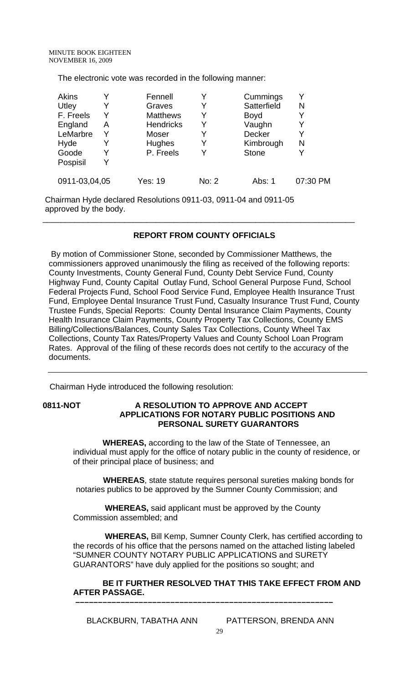The electronic vote was recorded in the following manner:

| <b>Akins</b>  |   | Fennell          |       | Cummings      | v        |
|---------------|---|------------------|-------|---------------|----------|
| Utley         |   | Graves           | Y     | Satterfield   | N        |
| F. Freels     |   | <b>Matthews</b>  | Y     | <b>Boyd</b>   | Y        |
| England       | А | <b>Hendricks</b> | Y     | Vaughn        | Y        |
| LeMarbre      |   | Moser            | Y     | <b>Decker</b> | Y        |
| Hyde          |   | Hughes           | Y     | Kimbrough     | Ν        |
| Goode         |   | P. Freels        | v     | <b>Stone</b>  |          |
| Pospisil      |   |                  |       |               |          |
| 0911-03,04,05 |   | Yes: 19          | No: 2 | Abs: 1        | 07:30 PM |

Chairman Hyde declared Resolutions 0911-03, 0911-04 and 0911-05 approved by the body.

## **REPORT FROM COUNTY OFFICIALS**

\_\_\_\_\_\_\_\_\_\_\_\_\_\_\_\_\_\_\_\_\_\_\_\_\_\_\_\_\_\_\_\_\_\_\_\_\_\_\_\_\_\_\_\_\_\_\_\_\_\_\_\_\_\_\_\_\_\_\_\_\_\_\_\_\_\_\_\_\_

 By motion of Commissioner Stone, seconded by Commissioner Matthews, the commissioners approved unanimously the filing as received of the following reports: County Investments, County General Fund, County Debt Service Fund, County Highway Fund, County Capital Outlay Fund, School General Purpose Fund, School Federal Projects Fund, School Food Service Fund, Employee Health Insurance Trust Fund, Employee Dental Insurance Trust Fund, Casualty Insurance Trust Fund, County Trustee Funds, Special Reports: County Dental Insurance Claim Payments, County Health Insurance Claim Payments, County Property Tax Collections, County EMS Billing/Collections/Balances, County Sales Tax Collections, County Wheel Tax Collections, County Tax Rates/Property Values and County School Loan Program Rates. Approval of the filing of these records does not certify to the accuracy of the documents.

Chairman Hyde introduced the following resolution:

## **0811-NOT A RESOLUTION TO APPROVE AND ACCEPT APPLICATIONS FOR NOTARY PUBLIC POSITIONS AND PERSONAL SURETY GUARANTORS**

 **WHEREAS,** according to the law of the State of Tennessee, an individual must apply for the office of notary public in the county of residence, or of their principal place of business; and

 **WHEREAS**, state statute requires personal sureties making bonds for notaries publics to be approved by the Sumner County Commission; and

 **WHEREAS,** said applicant must be approved by the County Commission assembled; and

 **–––––––––––––––––––––––––––––––––––––––––––––––––––––––––**

 **WHEREAS,** Bill Kemp, Sumner County Clerk, has certified according to the records of his office that the persons named on the attached listing labeled "SUMNER COUNTY NOTARY PUBLIC APPLICATIONS and SURETY GUARANTORS" have duly applied for the positions so sought; and

## **BE IT FURTHER RESOLVED THAT THIS TAKE EFFECT FROM AND AFTER PASSAGE.**

BLACKBURN, TABATHA ANN PATTERSON, BRENDA ANN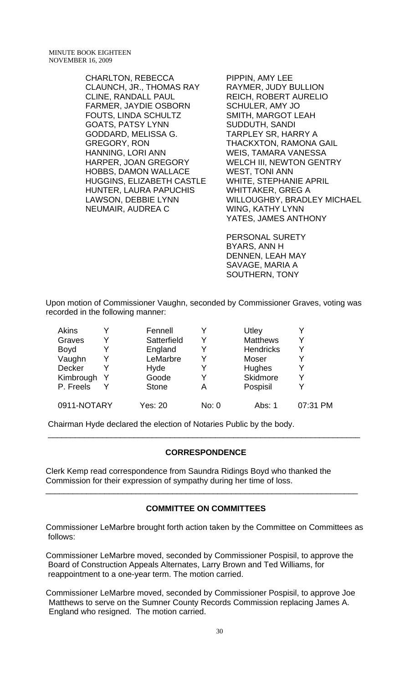CHARLTON, REBECCA CLAUNCH, JR., THOMAS RAY CLINE, RANDALL PAUL FARMER, JAYDIE OSBORN FOUTS, LINDA SCHULTZ GOATS, PATSY LYNN GODDARD, MELISSA G. GREGORY, RON HANNING, LORI ANN HARPER, JOAN GREGORY HOBBS, DAMON WALLACE HUGGINS, ELIZABETH CASTLE HUNTER, LAURA PAPUCHIS LAWSON, DEBBIE LYNN NEUMAIR, AUDREA C

PIPPIN, AMY LEE RAYMER, JUDY BULLION REICH, ROBERT AURELIO SCHULER, AMY JO SMITH, MARGOT LEAH SUDDUTH, SANDI TARPLEY SR, HARRY A THACKXTON, RAMONA GAIL WEIS, TAMARA VANESSA WELCH III, NEWTON GENTRY WEST, TONI ANN WHITE, STEPHANIE APRIL WHITTAKER, GREG A WILLOUGHBY, BRADLEY MICHAEL WING, KATHY LYNN YATES, JAMES ANTHONY

PERSONAL SURETY BYARS, ANN H DENNEN, LEAH MAY SAVAGE, MARIA A SOUTHERN, TONY

Upon motion of Commissioner Vaughn, seconded by Commissioner Graves, voting was recorded in the following manner:

| Akins       |   | Fennell      |       | Utley            |          |
|-------------|---|--------------|-------|------------------|----------|
| Graves      |   | Satterfield  | Y     | <b>Matthews</b>  | Y        |
| <b>Boyd</b> |   | England      |       | <b>Hendricks</b> | v        |
| Vaughn      |   | LeMarbre     | Y     | Moser            | Y        |
| Decker      |   | Hyde         | Y     | <b>Hughes</b>    | Y        |
| Kimbrough   | Y | Goode        | Y     | Skidmore         | Y        |
| P. Freels   | Y | <b>Stone</b> | Α     | Pospisil         | v        |
| 0911-NOTARY |   | Yes: 20      | No: 0 | Abs: 1           | 07:31 PM |

Chairman Hyde declared the election of Notaries Public by the body.

#### **CORRESPONDENCE**

\_\_\_\_\_\_\_\_\_\_\_\_\_\_\_\_\_\_\_\_\_\_\_\_\_\_\_\_\_\_\_\_\_\_\_\_\_\_\_\_\_\_\_\_\_\_\_\_\_\_\_\_\_\_\_\_\_\_\_\_\_\_\_\_\_\_\_\_\_

Clerk Kemp read correspondence from Saundra Ridings Boyd who thanked the Commission for their expression of sympathy during her time of loss.

#### **COMMITTEE ON COMMITTEES**

\_\_\_\_\_\_\_\_\_\_\_\_\_\_\_\_\_\_\_\_\_\_\_\_\_\_\_\_\_\_\_\_\_\_\_\_\_\_\_\_\_\_\_\_\_\_\_\_\_\_\_\_\_\_\_\_\_\_\_\_\_\_\_\_\_\_\_\_\_

Commissioner LeMarbre brought forth action taken by the Committee on Committees as follows:

Commissioner LeMarbre moved, seconded by Commissioner Pospisil, to approve the Board of Construction Appeals Alternates, Larry Brown and Ted Williams, for reappointment to a one-year term. The motion carried.

Commissioner LeMarbre moved, seconded by Commissioner Pospisil, to approve Joe Matthews to serve on the Sumner County Records Commission replacing James A. England who resigned. The motion carried.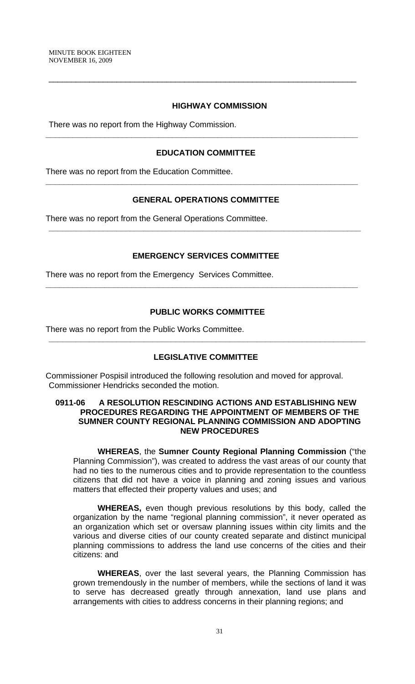#### **HIGHWAY COMMISSION**

There was no report from the Highway Commission.

## **EDUCATION COMMITTEE**

**\_\_\_\_\_\_\_\_\_\_\_\_\_\_\_\_\_\_\_\_\_\_\_\_\_\_\_\_\_\_\_\_\_\_\_\_\_\_\_\_\_\_\_\_\_\_\_\_\_\_\_\_\_\_\_\_\_\_\_\_\_\_\_\_\_\_\_\_\_** 

\_\_\_\_\_\_\_\_\_\_\_\_\_\_\_\_\_\_\_\_\_\_\_\_\_\_\_\_\_\_\_\_\_\_\_\_\_\_\_\_\_\_\_\_\_\_\_\_\_\_\_\_\_\_\_\_\_\_\_\_\_\_\_\_\_\_\_\_

There was no report from the Education Committee.

#### **GENERAL OPERATIONS COMMITTEE**

**\_\_\_\_\_\_\_\_\_\_\_\_\_\_\_\_\_\_\_\_\_\_\_\_\_\_\_\_\_\_\_\_\_\_\_\_\_\_\_\_\_\_\_\_\_\_\_\_\_\_\_\_\_\_\_\_\_\_\_\_\_\_\_\_\_\_\_\_\_** 

There was no report from the General Operations Committee.

#### **EMERGENCY SERVICES COMMITTEE**

**\_\_\_\_\_\_\_\_\_\_\_\_\_\_\_\_\_\_\_\_\_\_\_\_\_\_\_\_\_\_\_\_\_\_\_\_\_\_\_\_\_\_\_\_\_\_\_\_\_\_\_\_\_\_\_\_\_\_\_\_\_\_\_\_\_\_\_\_\_** 

**\_\_\_\_\_\_\_\_\_\_\_\_\_\_\_\_\_\_\_\_\_\_\_\_\_\_\_\_\_\_\_\_\_\_\_\_\_\_\_\_\_\_\_\_\_\_\_\_\_\_\_\_\_\_\_\_\_\_\_\_\_\_\_\_\_\_\_\_\_** 

There was no report from the Emergency Services Committee.

## **PUBLIC WORKS COMMITTEE**

There was no report from the Public Works Committee.

#### **LEGISLATIVE COMMITTEE**

**\_\_\_\_\_\_\_\_\_\_\_\_\_\_\_\_\_\_\_\_\_\_\_\_\_\_\_\_\_\_\_\_\_\_\_\_\_\_\_\_\_\_\_\_\_\_\_\_\_\_\_\_\_\_\_\_\_\_\_\_\_\_\_\_\_\_\_\_\_\_** 

Commissioner Pospisil introduced the following resolution and moved for approval. Commissioner Hendricks seconded the motion.

## **0911-06 A RESOLUTION RESCINDING ACTIONS AND ESTABLISHING NEW PROCEDURES REGARDING THE APPOINTMENT OF MEMBERS OF THE SUMNER COUNTY REGIONAL PLANNING COMMISSION AND ADOPTING NEW PROCEDURES**

**WHEREAS**, the **Sumner County Regional Planning Commission** ("the Planning Commission"), was created to address the vast areas of our county that had no ties to the numerous cities and to provide representation to the countless citizens that did not have a voice in planning and zoning issues and various matters that effected their property values and uses; and

**WHEREAS,** even though previous resolutions by this body, called the organization by the name "regional planning commission", it never operated as an organization which set or oversaw planning issues within city limits and the various and diverse cities of our county created separate and distinct municipal planning commissions to address the land use concerns of the cities and their citizens: and

**WHEREAS**, over the last several years, the Planning Commission has grown tremendously in the number of members, while the sections of land it was to serve has decreased greatly through annexation, land use plans and arrangements with cities to address concerns in their planning regions; and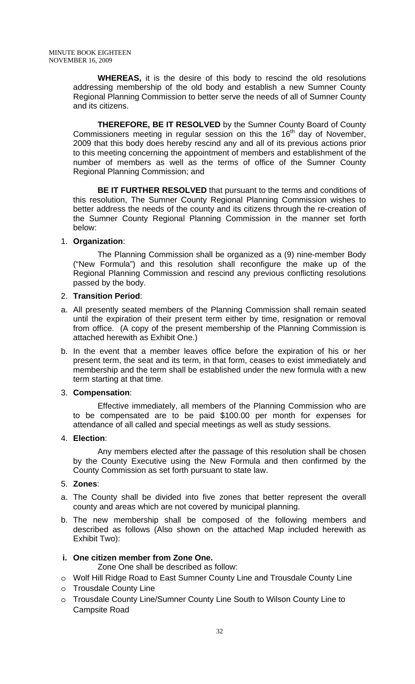**WHEREAS,** it is the desire of this body to rescind the old resolutions addressing membership of the old body and establish a new Sumner County Regional Planning Commission to better serve the needs of all of Sumner County and its citizens.

**THEREFORE, BE IT RESOLVED** by the Sumner County Board of County Commissioners meeting in regular session on this the 16<sup>th</sup> day of November, 2009 that this body does hereby rescind any and all of its previous actions prior to this meeting concerning the appointment of members and establishment of the number of members as well as the terms of office of the Sumner County Regional Planning Commission; and

**BE IT FURTHER RESOLVED** that pursuant to the terms and conditions of this resolution, The Sumner County Regional Planning Commission wishes to better address the needs of the county and its citizens through the re-creation of the Sumner County Regional Planning Commission in the manner set forth below:

## 1. **Organization**:

The Planning Commission shall be organized as a (9) nine-member Body ("New Formula") and this resolution shall reconfigure the make up of the Regional Planning Commission and rescind any previous conflicting resolutions passed by the body.

## 2. **Transition Period**:

- a. All presently seated members of the Planning Commission shall remain seated until the expiration of their present term either by time, resignation or removal from office. (A copy of the present membership of the Planning Commission is attached herewith as Exhibit One.)
- b. In the event that a member leaves office before the expiration of his or her present term, the seat and its term, in that form, ceases to exist immediately and membership and the term shall be established under the new formula with a new term starting at that time.

## 3. **Compensation**:

Effective immediately, all members of the Planning Commission who are to be compensated are to be paid \$100.00 per month for expenses for attendance of all called and special meetings as well as study sessions.

## 4. **Election**:

Any members elected after the passage of this resolution shall be chosen by the County Executive using the New Formula and then confirmed by the County Commission as set forth pursuant to state law.

## 5. **Zones**:

- a. The County shall be divided into five zones that better represent the overall county and areas which are not covered by municipal planning.
- b. The new membership shall be composed of the following members and described as follows (Also shown on the attached Map included herewith as Exhibit Two):

## **i. One citizen member from Zone One.**

- Zone One shall be described as follow:
- o Wolf Hill Ridge Road to East Sumner County Line and Trousdale County Line
- o Trousdale County Line
- o Trousdale County Line/Sumner County Line South to Wilson County Line to Campsite Road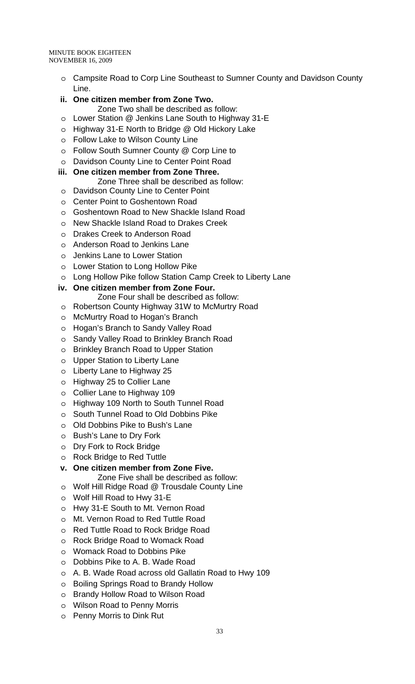MINUTE BOOK EIGHTEEN NOVEMBER 16, 2009

- o Campsite Road to Corp Line Southeast to Sumner County and Davidson County Line.
- **ii. One citizen member from Zone Two.**
- Zone Two shall be described as follow:
- o Lower Station @ Jenkins Lane South to Highway 31-E
- o Highway 31-E North to Bridge @ Old Hickory Lake
- o Follow Lake to Wilson County Line
- o Follow South Sumner County @ Corp Line to
- o Davidson County Line to Center Point Road
- **iii. One citizen member from Zone Three.** 
	- Zone Three shall be described as follow:
- o Davidson County Line to Center Point
- o Center Point to Goshentown Road
- o Goshentown Road to New Shackle Island Road
- o New Shackle Island Road to Drakes Creek
- o Drakes Creek to Anderson Road
- o Anderson Road to Jenkins Lane
- o Jenkins Lane to Lower Station
- o Lower Station to Long Hollow Pike
- o Long Hollow Pike follow Station Camp Creek to Liberty Lane
- **iv. One citizen member from Zone Four.** 
	- Zone Four shall be described as follow:
- o Robertson County Highway 31W to McMurtry Road
- o McMurtry Road to Hogan's Branch
- o Hogan's Branch to Sandy Valley Road
- o Sandy Valley Road to Brinkley Branch Road
- o Brinkley Branch Road to Upper Station
- o Upper Station to Liberty Lane
- o Liberty Lane to Highway 25
- o Highway 25 to Collier Lane
- o Collier Lane to Highway 109
- o Highway 109 North to South Tunnel Road
- o South Tunnel Road to Old Dobbins Pike
- o Old Dobbins Pike to Bush's Lane
- o Bush's Lane to Dry Fork
- o Dry Fork to Rock Bridge
- o Rock Bridge to Red Tuttle

## **v. One citizen member from Zone Five.**

- Zone Five shall be described as follow:
- o Wolf Hill Ridge Road @ Trousdale County Line
- o Wolf Hill Road to Hwy 31-E
- o Hwy 31-E South to Mt. Vernon Road
- o Mt. Vernon Road to Red Tuttle Road
- o Red Tuttle Road to Rock Bridge Road
- o Rock Bridge Road to Womack Road
- o Womack Road to Dobbins Pike
- o Dobbins Pike to A. B. Wade Road
- o A. B. Wade Road across old Gallatin Road to Hwy 109
- o Boiling Springs Road to Brandy Hollow
- o Brandy Hollow Road to Wilson Road
- o Wilson Road to Penny Morris
- o Penny Morris to Dink Rut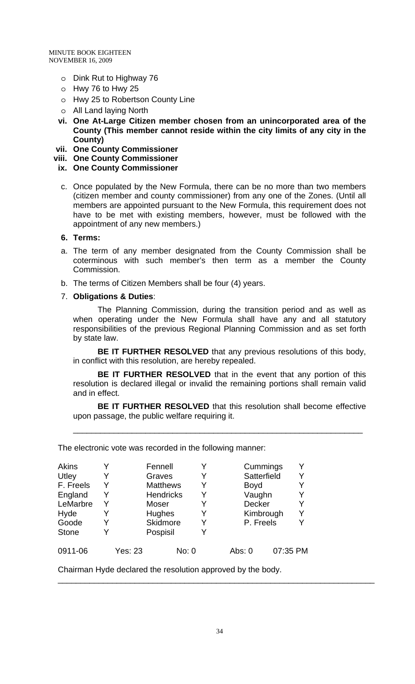- o Dink Rut to Highway 76
- o Hwy 76 to Hwy 25
- o Hwy 25 to Robertson County Line
- o All Land laying North
- **vi. One At-Large Citizen member chosen from an unincorporated area of the County (This member cannot reside within the city limits of any city in the County)**
- **vii. One County Commissioner**
- **viii. One County Commissioner**
- **ix. One County Commissioner**
- c. Once populated by the New Formula, there can be no more than two members (citizen member and county commissioner) from any one of the Zones. (Until all members are appointed pursuant to the New Formula, this requirement does not have to be met with existing members, however, must be followed with the appointment of any new members.)

## **6. Terms:**

- a. The term of any member designated from the County Commission shall be coterminous with such member's then term as a member the County Commission.
- b. The terms of Citizen Members shall be four (4) years.
- 7. **Obligations & Duties**:

The Planning Commission, during the transition period and as well as when operating under the New Formula shall have any and all statutory responsibilities of the previous Regional Planning Commission and as set forth by state law.

**BE IT FURTHER RESOLVED** that any previous resolutions of this body, in conflict with this resolution, are hereby repealed.

**BE IT FURTHER RESOLVED** that in the event that any portion of this resolution is declared illegal or invalid the remaining portions shall remain valid and in effect.

**BE IT FURTHER RESOLVED** that this resolution shall become effective upon passage, the public welfare requiring it.

\_\_\_\_\_\_\_\_\_\_\_\_\_\_\_\_\_\_\_\_\_\_\_\_\_\_\_\_\_\_\_\_\_\_\_\_\_\_\_\_\_\_\_\_\_\_\_\_\_\_\_\_\_\_\_\_\_\_\_\_\_\_\_\_

The electronic vote was recorded in the following manner:

| Akins        | v |                | Fennell          |       |   |        | Cummings    | Y        |
|--------------|---|----------------|------------------|-------|---|--------|-------------|----------|
| Utley        |   |                | Graves           |       |   |        | Satterfield | Y        |
| F. Freels    | Y |                | <b>Matthews</b>  |       |   |        | <b>Boyd</b> |          |
| England      | Y |                | <b>Hendricks</b> |       | Y |        | Vaughn      | Y        |
| LeMarbre     | Y |                | Moser            |       |   |        | Decker      | Y        |
| Hyde         | Y |                | Hughes           |       | Y |        | Kimbrough   | Y        |
| Goode        | Y |                | Skidmore         |       |   |        | P. Freels   | Y        |
| <b>Stone</b> |   |                | Pospisil         |       |   |        |             |          |
| 0911-06      |   | <b>Yes: 23</b> |                  | No: 0 |   | Abs: 0 |             | 07:35 PM |

Chairman Hyde declared the resolution approved by the body.

\_\_\_\_\_\_\_\_\_\_\_\_\_\_\_\_\_\_\_\_\_\_\_\_\_\_\_\_\_\_\_\_\_\_\_\_\_\_\_\_\_\_\_\_\_\_\_\_\_\_\_\_\_\_\_\_\_\_\_\_\_\_\_\_\_\_\_\_\_\_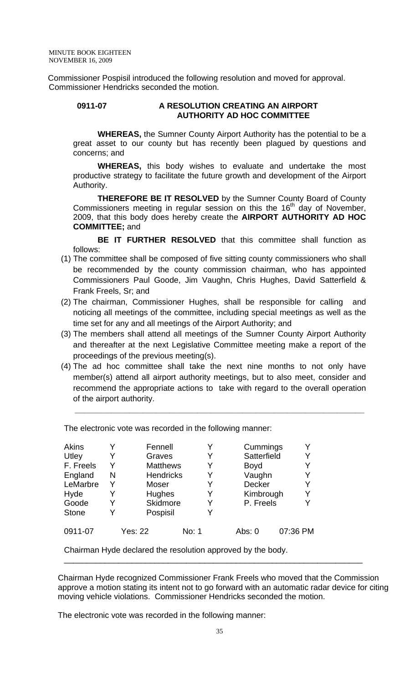Commissioner Pospisil introduced the following resolution and moved for approval. Commissioner Hendricks seconded the motion.

#### **0911-07 A RESOLUTION CREATING AN AIRPORT AUTHORITY AD HOC COMMITTEE**

 **WHEREAS,** the Sumner County Airport Authority has the potential to be a great asset to our county but has recently been plagued by questions and concerns; and

**WHEREAS,** this body wishes to evaluate and undertake the most productive strategy to facilitate the future growth and development of the Airport Authority.

**THEREFORE BE IT RESOLVED** by the Sumner County Board of County Commissioners meeting in regular session on this the  $16<sup>th</sup>$  day of November, 2009, that this body does hereby create the **AIRPORT AUTHORITY AD HOC COMMITTEE;** and

**BE IT FURTHER RESOLVED** that this committee shall function as follows:

- (1) The committee shall be composed of five sitting county commissioners who shall be recommended by the county commission chairman, who has appointed Commissioners Paul Goode, Jim Vaughn, Chris Hughes, David Satterfield & Frank Freels, Sr; and
- (2) The chairman, Commissioner Hughes, shall be responsible for calling and noticing all meetings of the committee, including special meetings as well as the time set for any and all meetings of the Airport Authority; and
- (3) The members shall attend all meetings of the Sumner County Airport Authority and thereafter at the next Legislative Committee meeting make a report of the proceedings of the previous meeting(s).
- (4) The ad hoc committee shall take the next nine months to not only have member(s) attend all airport authority meetings, but to also meet, consider and recommend the appropriate actions to take with regard to the overall operation of the airport authority.

**\_\_\_\_\_\_\_\_\_\_\_\_\_\_\_\_\_\_\_\_\_\_\_\_\_\_\_\_\_\_\_\_\_\_\_\_\_\_\_\_\_\_\_\_\_\_\_\_\_\_\_\_\_\_\_\_\_\_\_\_\_\_\_\_** 

| <b>Akins</b><br>Utley<br>F. Freels<br>England<br>LeMarbre | Y<br>Y<br>N<br>Y | Fennell<br>Graves<br><b>Matthews</b><br><b>Hendricks</b><br>Moser |       | Y<br>Y<br>Y | Cummings<br>Satterfield<br><b>Boyd</b><br>Vaughn<br>Decker | Y<br>Y<br>Y<br>Y<br>Y |
|-----------------------------------------------------------|------------------|-------------------------------------------------------------------|-------|-------------|------------------------------------------------------------|-----------------------|
| Hyde<br>Goode<br><b>Stone</b>                             | Y<br>γ           | Hughes<br>Skidmore<br>Pospisil                                    |       | Y           | Kimbrough<br>P. Freels                                     | Y<br>Y                |
| 0911-07                                                   |                  | <b>Yes: 22</b>                                                    | No: 1 |             | Abs: 0                                                     | 07:36 PM              |

The electronic vote was recorded in the following manner:

Chairman Hyde declared the resolution approved by the body.

Chairman Hyde recognized Commissioner Frank Freels who moved that the Commission approve a motion stating its intent not to go forward with an automatic radar device for citing moving vehicle violations. Commissioner Hendricks seconded the motion.

\_\_\_\_\_\_\_\_\_\_\_\_\_\_\_\_\_\_\_\_\_\_\_\_\_\_\_\_\_\_\_\_\_\_\_\_\_\_\_\_\_\_\_\_\_\_\_\_\_\_\_\_\_\_\_\_\_\_\_\_\_\_\_\_\_\_

The electronic vote was recorded in the following manner: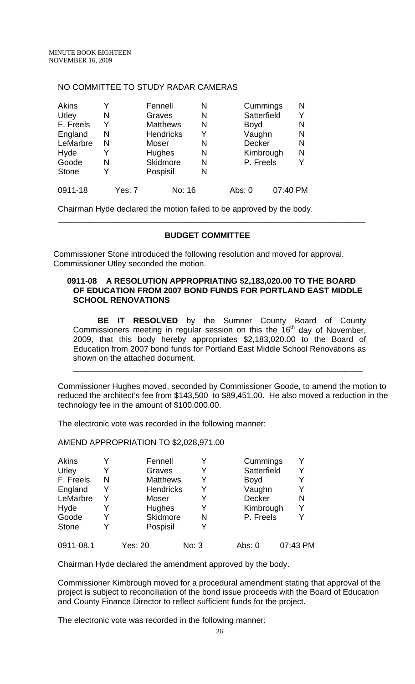#### NO COMMITTEE TO STUDY RADAR CAMERAS

| Akins        | Y |        | Fennell          |        | N |        | Cummings      |          | N |
|--------------|---|--------|------------------|--------|---|--------|---------------|----------|---|
| Utley        | N |        | Graves           |        | N |        | Satterfield   |          | Y |
| F. Freels    | Y |        | <b>Matthews</b>  |        | N |        | <b>Boyd</b>   |          | N |
| England      | N |        | <b>Hendricks</b> |        | Y |        | Vaughn        |          | N |
| LeMarbre     | N |        | Moser            |        | N |        | <b>Decker</b> |          | N |
| Hyde         | Y |        | <b>Hughes</b>    |        | N |        | Kimbrough     |          | N |
| Goode        | N |        | Skidmore         |        | N |        | P. Freels     |          | Y |
| <b>Stone</b> | Y |        | Pospisil         |        | N |        |               |          |   |
| 0911-18      |   | Yes: 7 |                  | No: 16 |   | Abs: 0 |               | 07:40 PM |   |

Chairman Hyde declared the motion failed to be approved by the body.

## **BUDGET COMMITTEE**

\_\_\_\_\_\_\_\_\_\_\_\_\_\_\_\_\_\_\_\_\_\_\_\_\_\_\_\_\_\_\_\_\_\_\_\_\_\_\_\_\_\_\_\_\_\_\_\_\_\_\_\_\_\_\_\_\_\_\_\_\_\_\_\_\_\_\_\_

 Commissioner Stone introduced the following resolution and moved for approval. Commissioner Utley seconded the motion.

## **0911-08 A RESOLUTION APPROPRIATING \$2,183,020.00 TO THE BOARD OF EDUCATION FROM 2007 BOND FUNDS FOR PORTLAND EAST MIDDLE SCHOOL RENOVATIONS**

**BE IT RESOLVED** by the Sumner County Board of County Commissioners meeting in regular session on this the 16<sup>th</sup> day of November, 2009, that this body hereby appropriates \$2,183,020.00 to the Board of Education from 2007 bond funds for Portland East Middle School Renovations as shown on the attached document.

\_\_\_\_\_\_\_\_\_\_\_\_\_\_\_\_\_\_\_\_\_\_\_\_\_\_\_\_\_\_\_\_\_\_\_\_\_\_\_\_\_\_\_\_\_\_\_\_\_\_\_\_\_\_\_\_\_\_\_\_\_\_\_\_

Commissioner Hughes moved, seconded by Commissioner Goode, to amend the motion to reduced the architect's fee from \$143,500 to \$89,451.00. He also moved a reduction in the technology fee in the amount of \$100,000.00.

The electronic vote was recorded in the following manner:

AMEND APPROPRIATION TO \$2,028,971.00

| Akins        |   | Fennell          | Y     | Cummings    |          |
|--------------|---|------------------|-------|-------------|----------|
| Utley        | Y | Graves           | Y     | Satterfield | Y        |
| F. Freels    | N | <b>Matthews</b>  | Y     | <b>Boyd</b> |          |
| England      | Y | <b>Hendricks</b> | Y     | Vaughn      | Y        |
| LeMarbre     | Y | Moser            | Y     | Decker      | N        |
| Hyde         | Y | Hughes           | Y     | Kimbrough   | Y        |
| Goode        |   | Skidmore         | N     | P. Freels   |          |
| <b>Stone</b> |   | Pospisil         | Y     |             |          |
| 0911-08.1    |   | Yes: 20          | No: 3 | Abs: 0      | 07:43 PM |

Chairman Hyde declared the amendment approved by the body.

Commissioner Kimbrough moved for a procedural amendment stating that approval of the project is subject to reconciliation of the bond issue proceeds with the Board of Education and County Finance Director to reflect sufficient funds for the project.

The electronic vote was recorded in the following manner: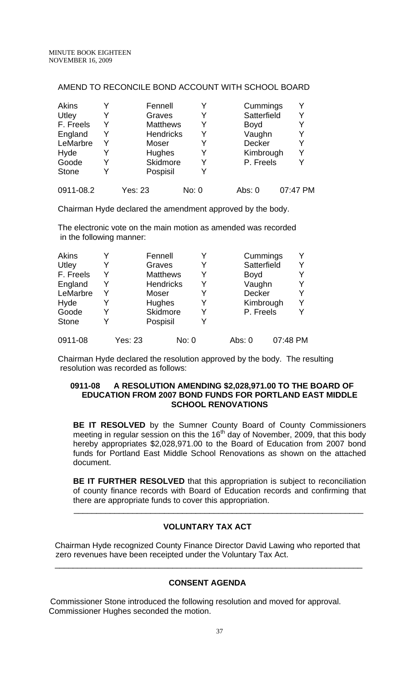#### AMEND TO RECONCILE BOND ACCOUNT WITH SCHOOL BOARD

| Akins        |   | Fennell          |       | Cummings    |          |
|--------------|---|------------------|-------|-------------|----------|
| Utley        |   | Graves           | Y     | Satterfield |          |
| F. Freels    | Y | <b>Matthews</b>  | Y     | <b>Boyd</b> |          |
| England      | Y | <b>Hendricks</b> | Y     | Vaughn      |          |
| LeMarbre     | Y | Moser            | Y     | Decker      |          |
| Hyde         | Y | Hughes           | Y     | Kimbrough   |          |
| Goode        | Y | Skidmore         | Y     | P. Freels   |          |
| <b>Stone</b> |   | Pospisil         | Y     |             |          |
| 0911-08.2    |   | Yes: 23          | No: 0 | Abs: 0      | 07:47 PM |

Chairman Hyde declared the amendment approved by the body.

The electronic vote on the main motion as amended was recorded in the following manner:

| Akins        |   |         | Fennell          |       |   |        | Cummings    |          |   |
|--------------|---|---------|------------------|-------|---|--------|-------------|----------|---|
| Utley        | Y |         | Graves           |       | Y |        | Satterfield |          | Y |
| F. Freels    | Y |         | <b>Matthews</b>  |       | Y |        | <b>Boyd</b> |          |   |
| England      | Y |         | <b>Hendricks</b> |       |   |        | Vaughn      |          | Y |
| LeMarbre     | Y |         | Moser            |       |   |        | Decker      |          | Y |
| Hyde         | Y |         | Hughes           |       | Y |        | Kimbrough   |          | Y |
| Goode        | Y |         | <b>Skidmore</b>  |       | Y |        | P. Freels   |          | Y |
| <b>Stone</b> |   |         | Pospisil         |       |   |        |             |          |   |
| 0911-08      |   | Yes: 23 |                  | No: 0 |   | Abs: 0 |             | 07:48 PM |   |

Chairman Hyde declared the resolution approved by the body. The resulting resolution was recorded as follows:

#### **0911-08 A RESOLUTION AMENDING \$2,028,971.00 TO THE BOARD OF EDUCATION FROM 2007 BOND FUNDS FOR PORTLAND EAST MIDDLE SCHOOL RENOVATIONS**

**BE IT RESOLVED** by the Sumner County Board of County Commissioners meeting in regular session on this the  $16<sup>th</sup>$  day of November, 2009, that this body hereby appropriates \$2,028,971.00 to the Board of Education from 2007 bond funds for Portland East Middle School Renovations as shown on the attached document.

**BE IT FURTHER RESOLVED** that this appropriation is subject to reconciliation of county finance records with Board of Education records and confirming that there are appropriate funds to cover this appropriation.

## **VOLUNTARY TAX ACT**

\_\_\_\_\_\_\_\_\_\_\_\_\_\_\_\_\_\_\_\_\_\_\_\_\_\_\_\_\_\_\_\_\_\_\_\_\_\_\_\_\_\_\_\_\_\_\_\_\_\_\_\_\_\_\_\_\_\_\_\_\_\_\_\_

Chairman Hyde recognized County Finance Director David Lawing who reported that zero revenues have been receipted under the Voluntary Tax Act.

\_\_\_\_\_\_\_\_\_\_\_\_\_\_\_\_\_\_\_\_\_\_\_\_\_\_\_\_\_\_\_\_\_\_\_\_\_\_\_\_\_\_\_\_\_\_\_\_\_\_\_\_\_\_\_\_\_\_\_\_\_\_\_\_\_\_\_\_

## **CONSENT AGENDA**

 Commissioner Stone introduced the following resolution and moved for approval. Commissioner Hughes seconded the motion.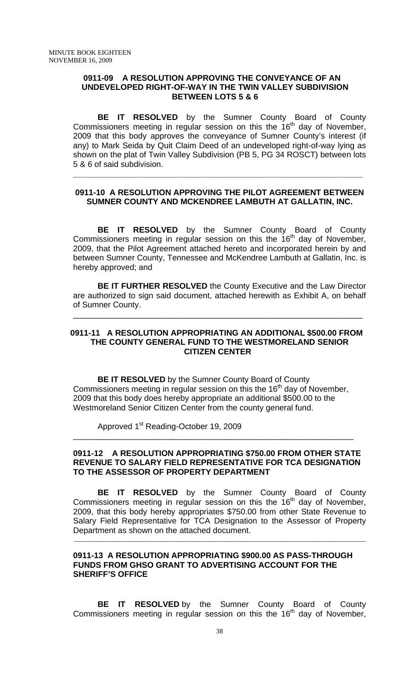#### **0911-09 A RESOLUTION APPROVING THE CONVEYANCE OF AN UNDEVELOPED RIGHT-OF-WAY IN THE TWIN VALLEY SUBDIVISION BETWEEN LOTS 5 & 6**

 **BE IT RESOLVED** by the Sumner County Board of County  $Commissioners meeting in regular session on this the 16<sup>th</sup> day of November,$ 2009 that this body approves the conveyance of Sumner County's interest (if any) to Mark Seida by Quit Claim Deed of an undeveloped right-of-way lying as shown on the plat of Twin Valley Subdivision (PB 5, PG 34 ROSCT) between lots 5 & 6 of said subdivision.

## **0911-10 A RESOLUTION APPROVING THE PILOT AGREEMENT BETWEEN SUMNER COUNTY AND MCKENDREE LAMBUTH AT GALLATIN, INC.**

**\_\_\_\_\_\_\_\_\_\_\_\_\_\_\_\_\_\_\_\_\_\_\_\_\_\_\_\_\_\_\_\_\_\_\_\_\_\_\_\_\_\_\_\_\_\_\_\_\_\_\_\_\_\_\_\_\_\_\_\_\_\_\_\_**

 **BE IT RESOLVED** by the Sumner County Board of County Commissioners meeting in regular session on this the  $16<sup>th</sup>$  day of November, 2009, that the Pilot Agreement attached hereto and incorporated herein by and between Sumner County, Tennessee and McKendree Lambuth at Gallatin, Inc. is hereby approved; and

**BE IT FURTHER RESOLVED** the County Executive and the Law Director are authorized to sign said document, attached herewith as Exhibit A, on behalf of Sumner County.

\_\_\_\_\_\_\_\_\_\_\_\_\_\_\_\_\_\_\_\_\_\_\_\_\_\_\_\_\_\_\_\_\_\_\_\_\_\_\_\_\_\_\_\_\_\_\_\_\_\_\_\_\_\_\_\_\_\_\_\_\_\_\_\_

## **0911-11 A RESOLUTION APPROPRIATING AN ADDITIONAL \$500.00 FROM THE COUNTY GENERAL FUND TO THE WESTMORELAND SENIOR CITIZEN CENTER**

**BE IT RESOLVED** by the Sumner County Board of County Commissioners meeting in regular session on this the  $16<sup>th</sup>$  day of November, 2009 that this body does hereby appropriate an additional \$500.00 to the Westmoreland Senior Citizen Center from the county general fund.

Approved 1<sup>st</sup> Reading-October 19, 2009

## **0911-12 A RESOLUTION APPROPRIATING \$750.00 FROM OTHER STATE REVENUE TO SALARY FIELD REPRESENTATIVE FOR TCA DESIGNATION TO THE ASSESSOR OF PROPERTY DEPARTMENT**

\_\_\_\_\_\_\_\_\_\_\_\_\_\_\_\_\_\_\_\_\_\_\_\_\_\_\_\_\_\_\_\_\_\_\_\_\_\_\_\_\_\_\_\_\_\_\_\_\_\_\_\_\_\_\_\_\_\_\_\_\_\_

**BE IT RESOLVED** by the Sumner County Board of County Commissioners meeting in regular session on this the  $16<sup>th</sup>$  day of November, 2009, that this body hereby appropriates \$750.00 from other State Revenue to Salary Field Representative for TCA Designation to the Assessor of Property Department as shown on the attached document.

\_\_\_\_\_\_\_\_\_\_\_\_\_\_\_\_\_\_\_\_\_\_\_\_\_\_\_\_\_\_\_\_\_\_\_\_\_\_\_\_\_\_\_\_\_\_\_\_\_\_\_\_\_\_\_\_\_\_\_\_\_\_\_\_\_\_\_\_\_\_\_\_\_\_\_\_\_\_\_\_\_\_\_\_\_\_

## **0911-13 A RESOLUTION APPROPRIATING \$900.00 AS PASS-THROUGH FUNDS FROM GHSO GRANT TO ADVERTISING ACCOUNT FOR THE SHERIFF'S OFFICE**

 **BE IT RESOLVED** by the Sumner County Board of County Commissioners meeting in regular session on this the  $16<sup>th</sup>$  day of November,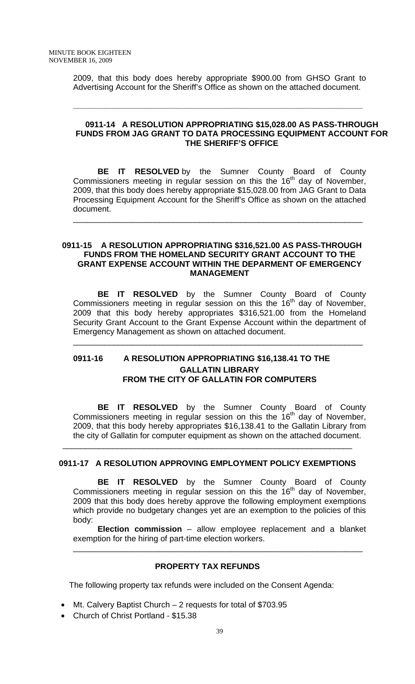2009, that this body does hereby appropriate \$900.00 from GHSO Grant to Advertising Account for the Sheriff's Office as shown on the attached document.

**\_\_\_\_\_\_\_\_\_\_\_\_\_\_\_\_\_\_\_\_\_\_\_\_\_\_\_\_\_\_\_\_\_\_\_\_\_\_\_\_\_\_\_\_\_\_\_\_\_\_\_\_\_\_\_\_\_\_\_\_\_\_\_\_** 

## **0911-14 A RESOLUTION APPROPRIATING \$15,028.00 AS PASS-THROUGH FUNDS FROM JAG GRANT TO DATA PROCESSING EQUIPMENT ACCOUNT FOR THE SHERIFF'S OFFICE**

**BE IT RESOLVED** by the Sumner County Board of County Commissioners meeting in regular session on this the  $16<sup>th</sup>$  day of November, 2009, that this body does hereby appropriate \$15,028.00 from JAG Grant to Data Processing Equipment Account for the Sheriff's Office as shown on the attached document.

\_\_\_\_\_\_\_\_\_\_\_\_\_\_\_\_\_\_\_\_\_\_\_\_\_\_\_\_\_\_\_\_\_\_\_\_\_\_\_\_\_\_\_\_\_\_\_\_\_\_\_\_\_\_\_\_\_\_\_\_\_\_\_\_

## **0911-15 A RESOLUTION APPROPRIATING \$316,521.00 AS PASS-THROUGH FUNDS FROM THE HOMELAND SECURITY GRANT ACCOUNT TO THE GRANT EXPENSE ACCOUNT WITHIN THE DEPARMENT OF EMERGENCY MANAGEMENT**

**BE IT RESOLVED** by the Sumner County Board of County Commissioners meeting in regular session on this the  $16<sup>th</sup>$  day of November, 2009 that this body hereby appropriates \$316,521.00 from the Homeland Security Grant Account to the Grant Expense Account within the department of Emergency Management as shown on attached document.

\_\_\_\_\_\_\_\_\_\_\_\_\_\_\_\_\_\_\_\_\_\_\_\_\_\_\_\_\_\_\_\_\_\_\_\_\_\_\_\_\_\_\_\_\_\_\_\_\_\_\_\_\_\_\_\_\_\_\_\_\_\_\_\_

# **0911-16 A RESOLUTION APPROPRIATING \$16,138.41 TO THE GALLATIN LIBRARY FROM THE CITY OF GALLATIN FOR COMPUTERS**

**BE IT RESOLVED** by the Sumner County Board of County Commissioners meeting in regular session on this the 16<sup>th</sup> day of November, 2009, that this body hereby appropriates \$16,138.41 to the Gallatin Library from the city of Gallatin for computer equipment as shown on the attached document.

## **0911-17 A RESOLUTION APPROVING EMPLOYMENT POLICY EXEMPTIONS**

\_\_\_\_\_\_\_\_\_\_\_\_\_\_\_\_\_\_\_\_\_\_\_\_\_\_\_\_\_\_\_\_\_\_\_\_\_\_\_\_\_\_\_\_\_\_\_\_\_\_\_\_\_\_\_\_\_\_\_\_\_\_\_\_

**BE IT RESOLVED** by the Sumner County Board of County Commissioners meeting in regular session on this the  $16<sup>th</sup>$  day of November, 2009 that this body does hereby approve the following employment exemptions which provide no budgetary changes yet are an exemption to the policies of this body:

**Election commission** – allow employee replacement and a blanket exemption for the hiring of part-time election workers.

\_\_\_\_\_\_\_\_\_\_\_\_\_\_\_\_\_\_\_\_\_\_\_\_\_\_\_\_\_\_\_\_\_\_\_\_\_\_\_\_\_\_\_\_\_\_\_\_\_\_\_\_\_\_\_\_\_\_\_\_\_\_\_\_

## **PROPERTY TAX REFUNDS**

The following property tax refunds were included on the Consent Agenda:

- Mt. Calvery Baptist Church 2 requests for total of \$703.95
- Church of Christ Portland \$15.38